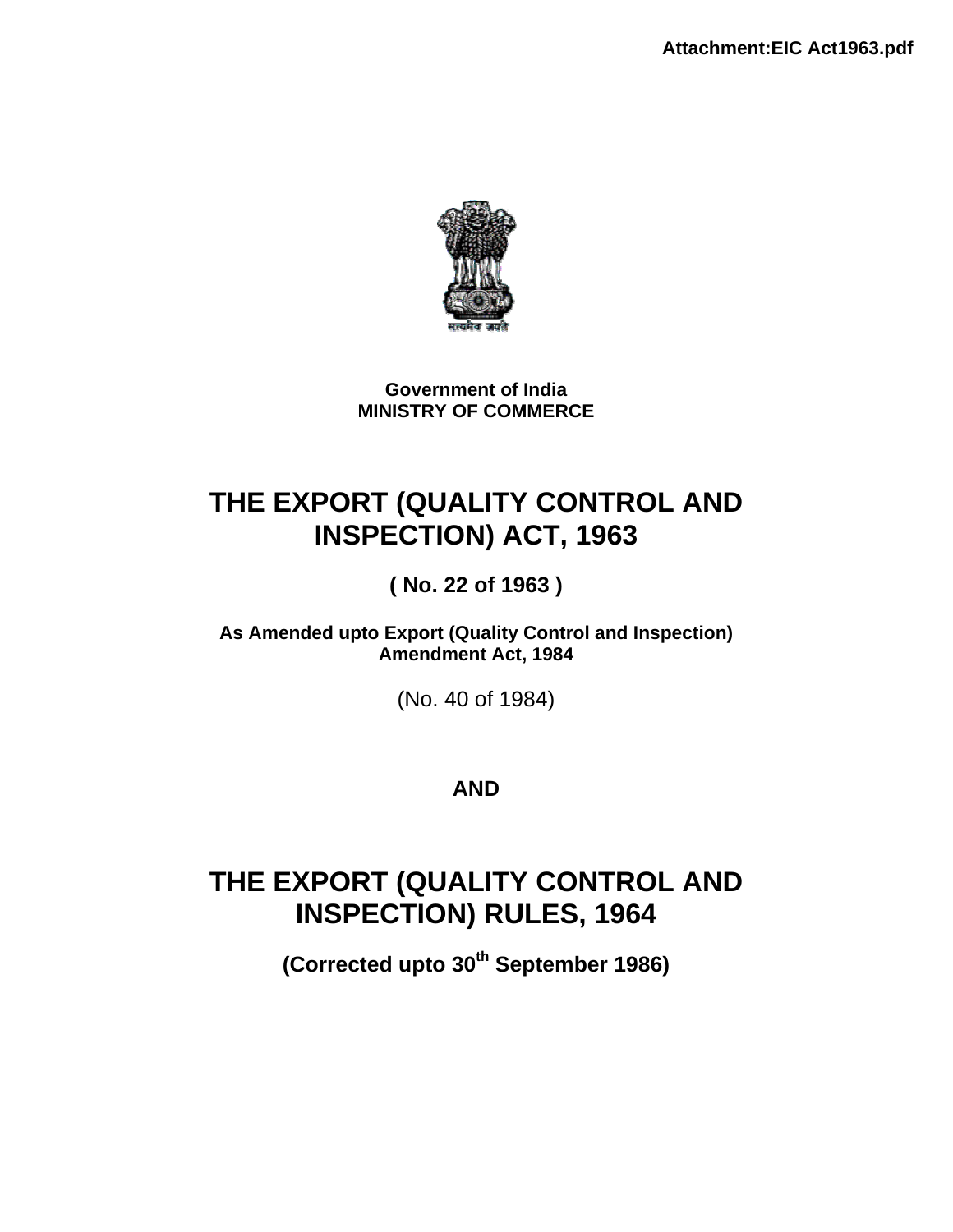

**Government of India MINISTRY OF COMMERCE** 

# **THE EXPORT (QUALITY CONTROL AND INSPECTION) ACT, 1963**

**( No. 22 of 1963 )** 

**As Amended upto Export (Quality Control and Inspection) Amendment Act, 1984** 

(No. 40 of 1984)

# **AND**

# **THE EXPORT (QUALITY CONTROL AND INSPECTION) RULES, 1964**

**(Corrected upto 30th September 1986)**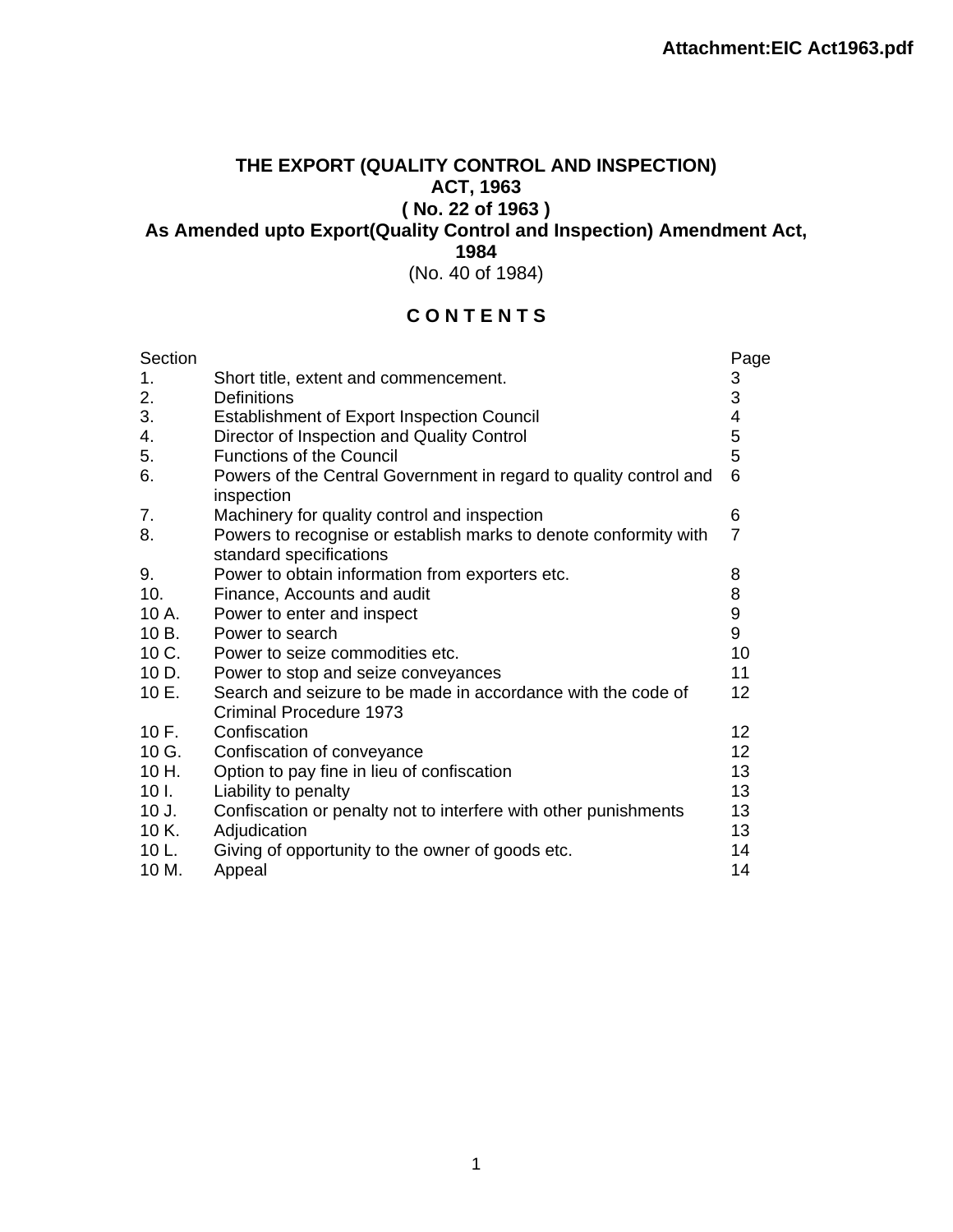# **THE EXPORT (QUALITY CONTROL AND INSPECTION) ACT, 1963 ( No. 22 of 1963 )**

**As Amended upto Export(Quality Control and Inspection) Amendment Act,** 

**1984** 

(No. 40 of 1984)

# **C O N T E N T S**

| Section         |                                                                                             | Page           |
|-----------------|---------------------------------------------------------------------------------------------|----------------|
| 1.              | Short title, extent and commencement.                                                       | 3              |
| 2.              | Definitions                                                                                 | 3              |
| 3.              | <b>Establishment of Export Inspection Council</b>                                           | 4              |
| 4.              | Director of Inspection and Quality Control                                                  | 5              |
| 5.              | <b>Functions of the Council</b>                                                             | 5              |
| 6.              | Powers of the Central Government in regard to quality control and<br>inspection             | 6              |
| 7.              | Machinery for quality control and inspection                                                | 6              |
| 8.              | Powers to recognise or establish marks to denote conformity with<br>standard specifications | $\overline{7}$ |
| 9.              | Power to obtain information from exporters etc.                                             | 8              |
| 10.             | Finance, Accounts and audit                                                                 | 8              |
| 10 A.           | Power to enter and inspect                                                                  | 9              |
| 10 B.           | Power to search                                                                             | 9              |
| 10 C.           | Power to seize commodities etc.                                                             | 10             |
| 10 D.           | Power to stop and seize conveyances                                                         | 11             |
| 10 E.           | Search and seizure to be made in accordance with the code of                                | 12             |
|                 | Criminal Procedure 1973                                                                     |                |
| 10F.            | Confiscation                                                                                | 12             |
| 10 G.           | Confiscation of conveyance                                                                  | 12             |
| 10 H.           | Option to pay fine in lieu of confiscation                                                  | 13             |
| 10 <sub>1</sub> | Liability to penalty                                                                        | 13             |
| 10 J.           | Confiscation or penalty not to interfere with other punishments                             | 13             |
| 10 K.           | Adjudication                                                                                | 13             |
| 10 L.           | Giving of opportunity to the owner of goods etc.                                            | 14             |
| 10 M.           | Appeal                                                                                      | 14             |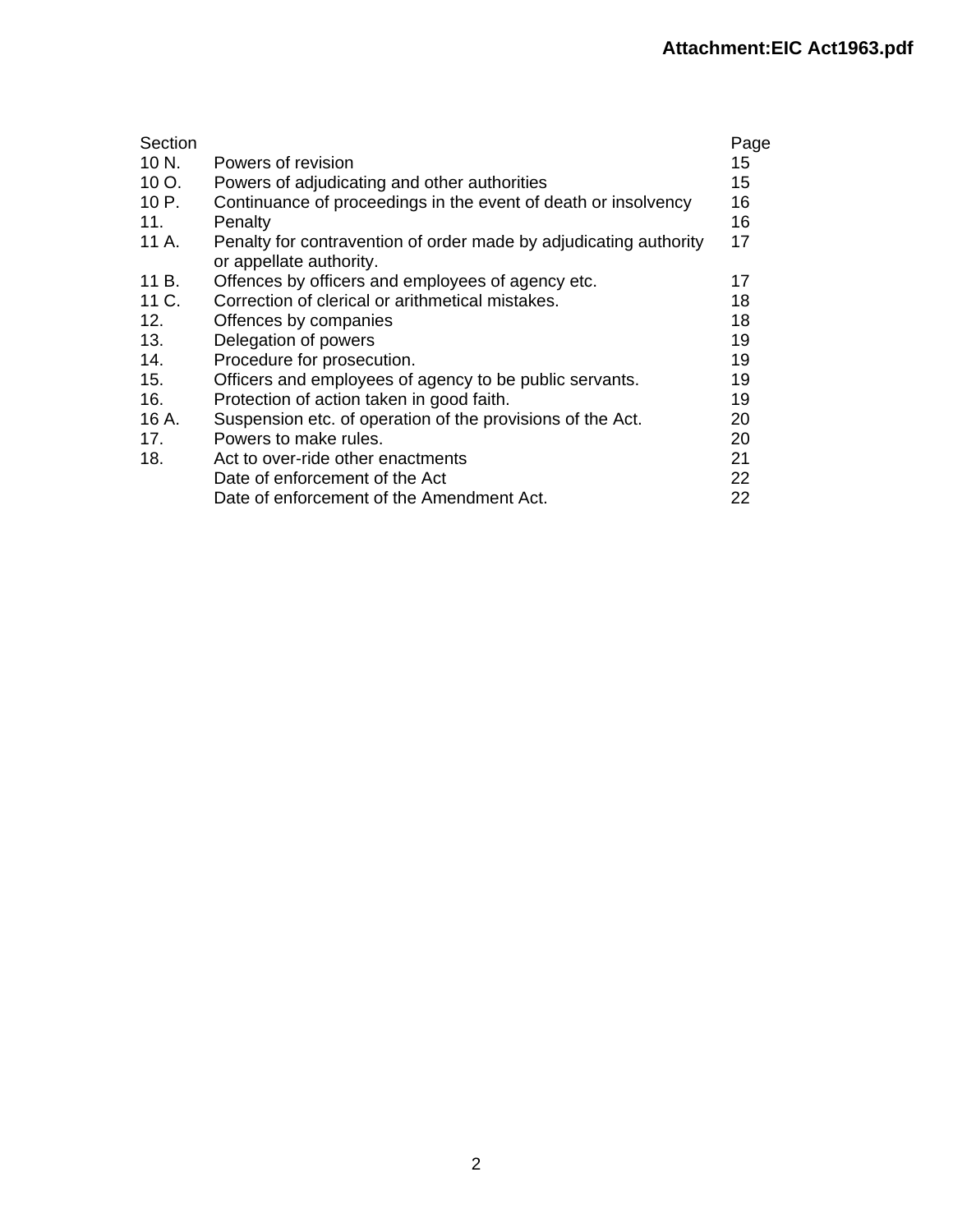| Section |                                                                                              | Page |
|---------|----------------------------------------------------------------------------------------------|------|
| 10 N.   | Powers of revision                                                                           | 15   |
| 10 O.   | Powers of adjudicating and other authorities                                                 | 15   |
| 10 P.   | Continuance of proceedings in the event of death or insolvency                               | 16   |
| 11.     | Penalty                                                                                      | 16   |
| 11 A.   | Penalty for contravention of order made by adjudicating authority<br>or appellate authority. | 17   |
| 11 B.   | Offences by officers and employees of agency etc.                                            | 17   |
| 11 C.   | Correction of clerical or arithmetical mistakes.                                             | 18   |
| 12.     | Offences by companies                                                                        | 18   |
| 13.     | Delegation of powers                                                                         | 19   |
| 14.     | Procedure for prosecution.                                                                   | 19   |
| 15.     | Officers and employees of agency to be public servants.                                      | 19   |
| 16.     | Protection of action taken in good faith.                                                    | 19   |
| 16 A.   | Suspension etc. of operation of the provisions of the Act.                                   | 20   |
| 17.     | Powers to make rules.                                                                        | 20   |
| 18.     | Act to over-ride other enactments                                                            | 21   |
|         | Date of enforcement of the Act                                                               | 22   |
|         | Date of enforcement of the Amendment Act.                                                    | 22   |
|         |                                                                                              |      |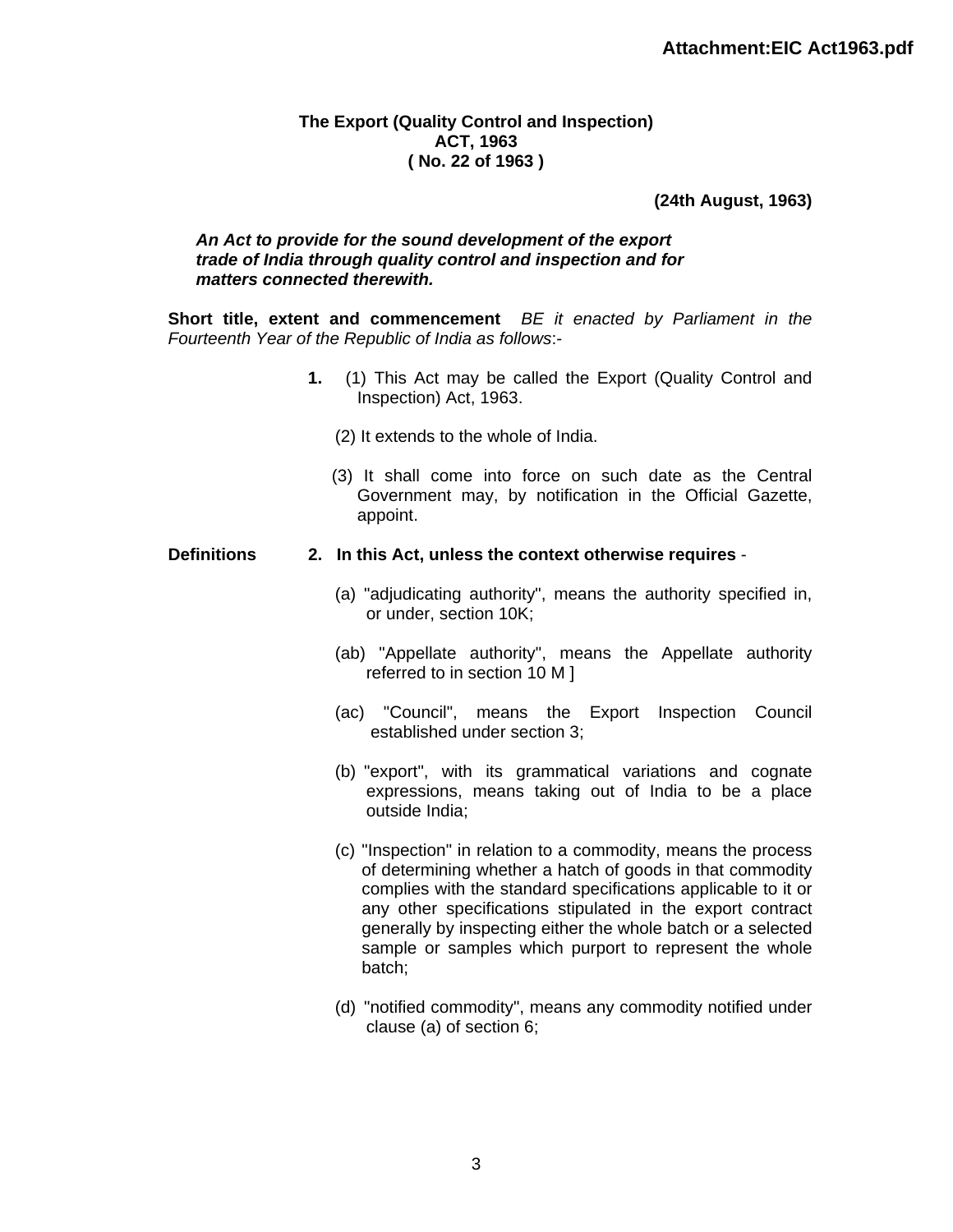#### **The Export (Quality Control and Inspection) ACT, 1963 ( No. 22 of 1963 )**

### **(24th August, 1963)**

#### *An Act to provide for the sound development of the export trade of India through quality control and inspection and for matters connected therewith.*

**Short title, extent and commencement** *BE it enacted by Parliament in the Fourteenth Year of the Republic of India as follows*:-

- **1.** (1) This Act may be called the Export (Quality Control and Inspection) Act, 1963.
	- (2) It extends to the whole of India.
	- (3) It shall come into force on such date as the Central Government may, by notification in the Official Gazette, appoint.

#### **Definitions 2. In this Act, unless the context otherwise requires** -

- (a) "adjudicating authority", means the authority specified in, or under, section 10K;
- (ab) "Appellate authority", means the Appellate authority referred to in section 10 M ]
- (ac) "Council", means the Export Inspection Council established under section 3;
- (b) "export", with its grammatical variations and cognate expressions, means taking out of India to be a place outside India;
- (c) "Inspection" in relation to a commodity, means the process of determining whether a hatch of goods in that commodity complies with the standard specifications applicable to it or any other specifications stipulated in the export contract generally by inspecting either the whole batch or a selected sample or samples which purport to represent the whole batch;
- (d) "notified commodity", means any commodity notified under clause (a) of section 6;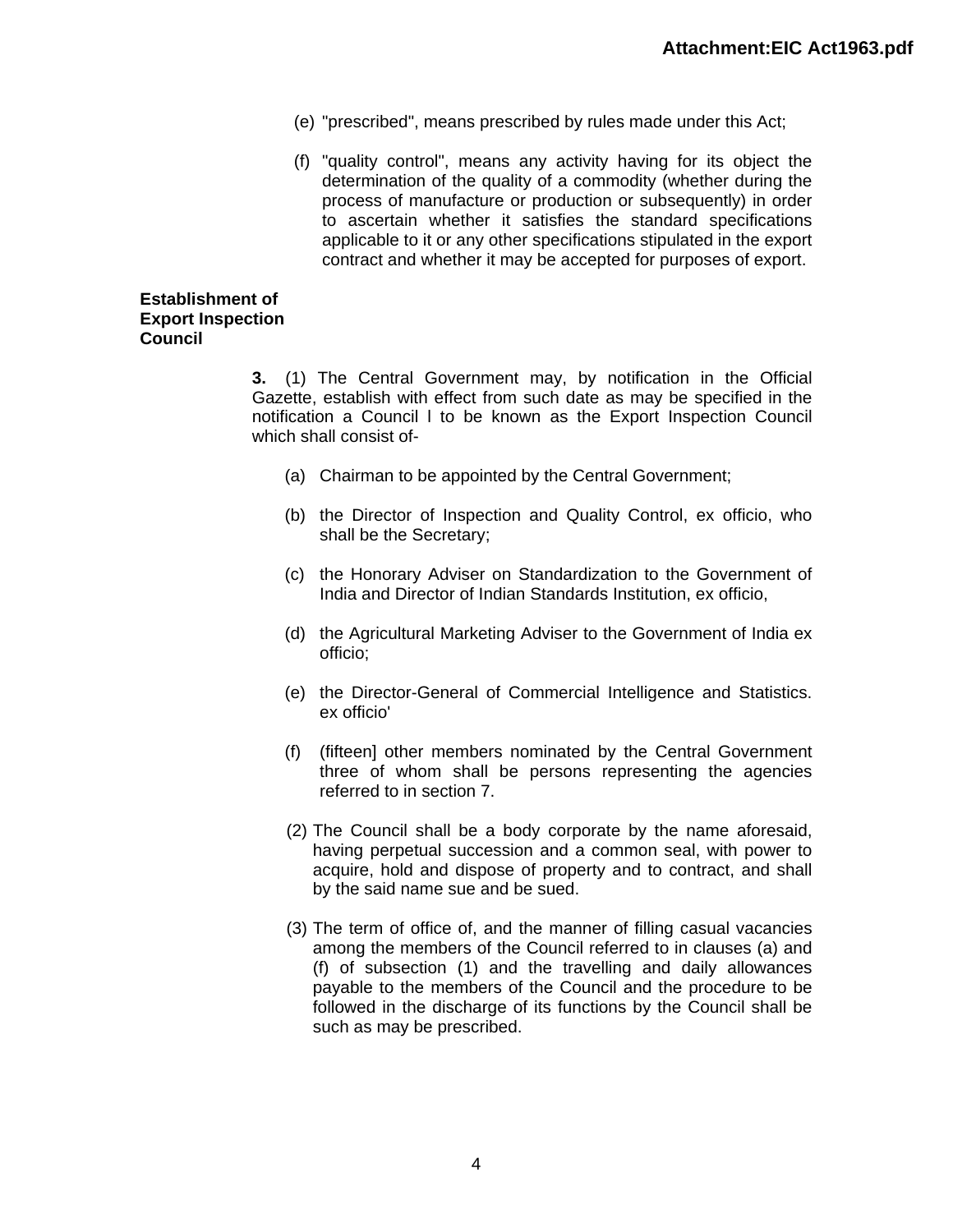- (e) "prescribed", means prescribed by rules made under this Act;
- (f) "quality control", means any activity having for its object the determination of the quality of a commodity (whether during the process of manufacture or production or subsequently) in order to ascertain whether it satisfies the standard specifications applicable to it or any other specifications stipulated in the export contract and whether it may be accepted for purposes of export.

#### **Establishment of Export Inspection Council**

**3.** (1) The Central Government may, by notification in the Official Gazette, establish with effect from such date as may be specified in the notification a Council l to be known as the Export Inspection Council which shall consist of-

- (a) Chairman to be appointed by the Central Government;
- (b) the Director of Inspection and Quality Control, ex officio, who shall be the Secretary;
- (c) the Honorary Adviser on Standardization to the Government of India and Director of Indian Standards Institution, ex officio,
- (d) the Agricultural Marketing Adviser to the Government of India ex officio;
- (e) the Director-General of Commercial Intelligence and Statistics. ex officio'
- (f) (fifteen] other members nominated by the Central Government three of whom shall be persons representing the agencies referred to in section 7.
- (2) The Council shall be a body corporate by the name aforesaid, having perpetual succession and a common seal, with power to acquire, hold and dispose of property and to contract, and shall by the said name sue and be sued.
- (3) The term of office of, and the manner of filling casual vacancies among the members of the Council referred to in clauses (a) and (f) of subsection (1) and the travelling and daily allowances payable to the members of the Council and the procedure to be followed in the discharge of its functions by the Council shall be such as may be prescribed.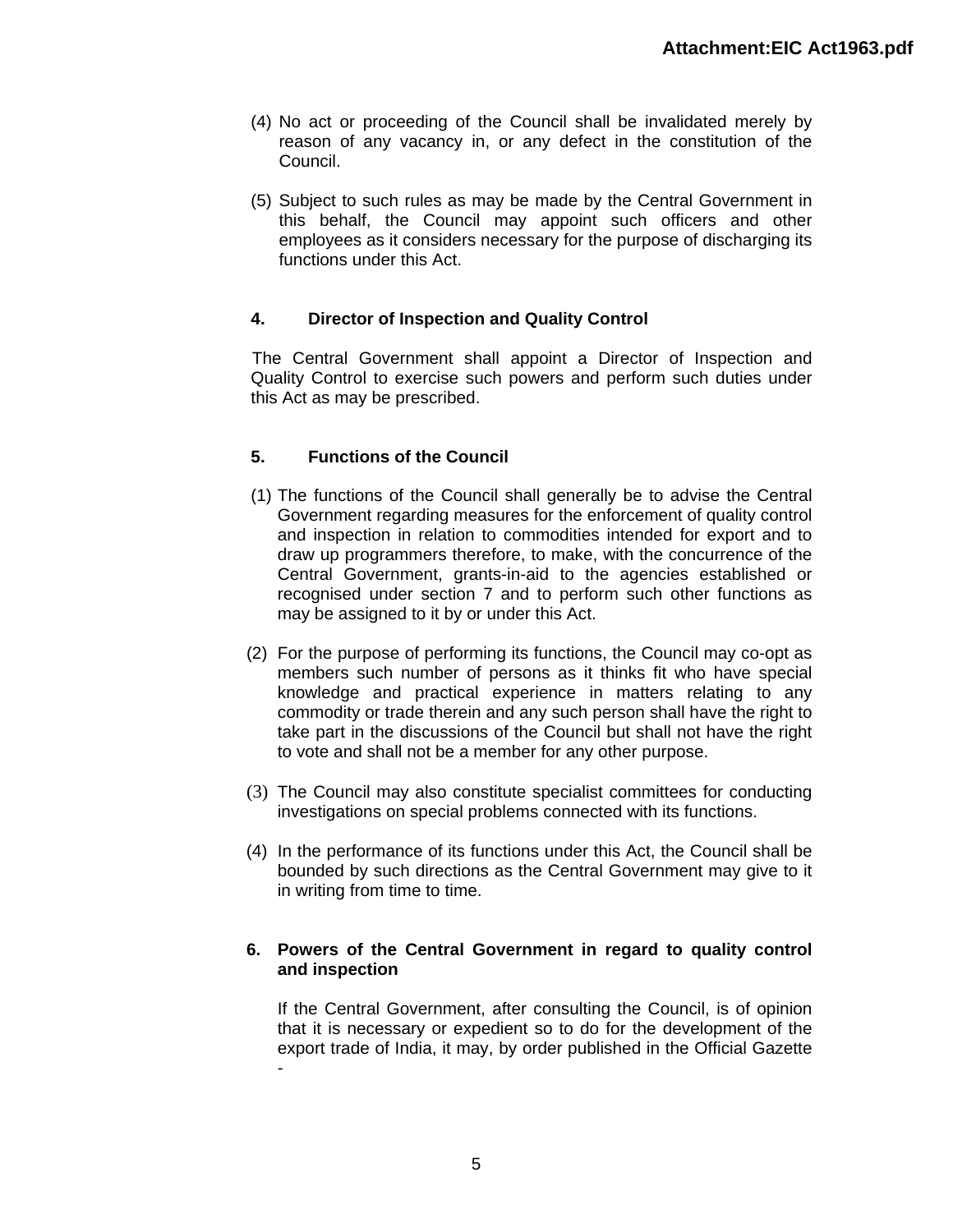- (4) No act or proceeding of the Council shall be invalidated merely by reason of any vacancy in, or any defect in the constitution of the Council.
- (5) Subject to such rules as may be made by the Central Government in this behalf, the Council may appoint such officers and other employees as it considers necessary for the purpose of discharging its functions under this Act.

# **4. Director of Inspection and Quality Control**

The Central Government shall appoint a Director of Inspection and Quality Control to exercise such powers and perform such duties under this Act as may be prescribed.

# **5. Functions of the Council**

- (1) The functions of the Council shall generally be to advise the Central Government regarding measures for the enforcement of quality control and inspection in relation to commodities intended for export and to draw up programmers therefore, to make, with the concurrence of the Central Government, grants-in-aid to the agencies established or recognised under section 7 and to perform such other functions as may be assigned to it by or under this Act.
- (2) For the purpose of performing its functions, the Council may co-opt as members such number of persons as it thinks fit who have special knowledge and practical experience in matters relating to any commodity or trade therein and any such person shall have the right to take part in the discussions of the Council but shall not have the right to vote and shall not be a member for any other purpose.
- (3) The Council may also constitute specialist committees for conducting investigations on special problems connected with its functions.
- (4) In the performance of its functions under this Act, the Council shall be bounded by such directions as the Central Government may give to it in writing from time to time.

### **6. Powers of the Central Government in regard to quality control and inspection**

If the Central Government, after consulting the Council, is of opinion that it is necessary or expedient so to do for the development of the export trade of India, it may, by order published in the Official Gazette -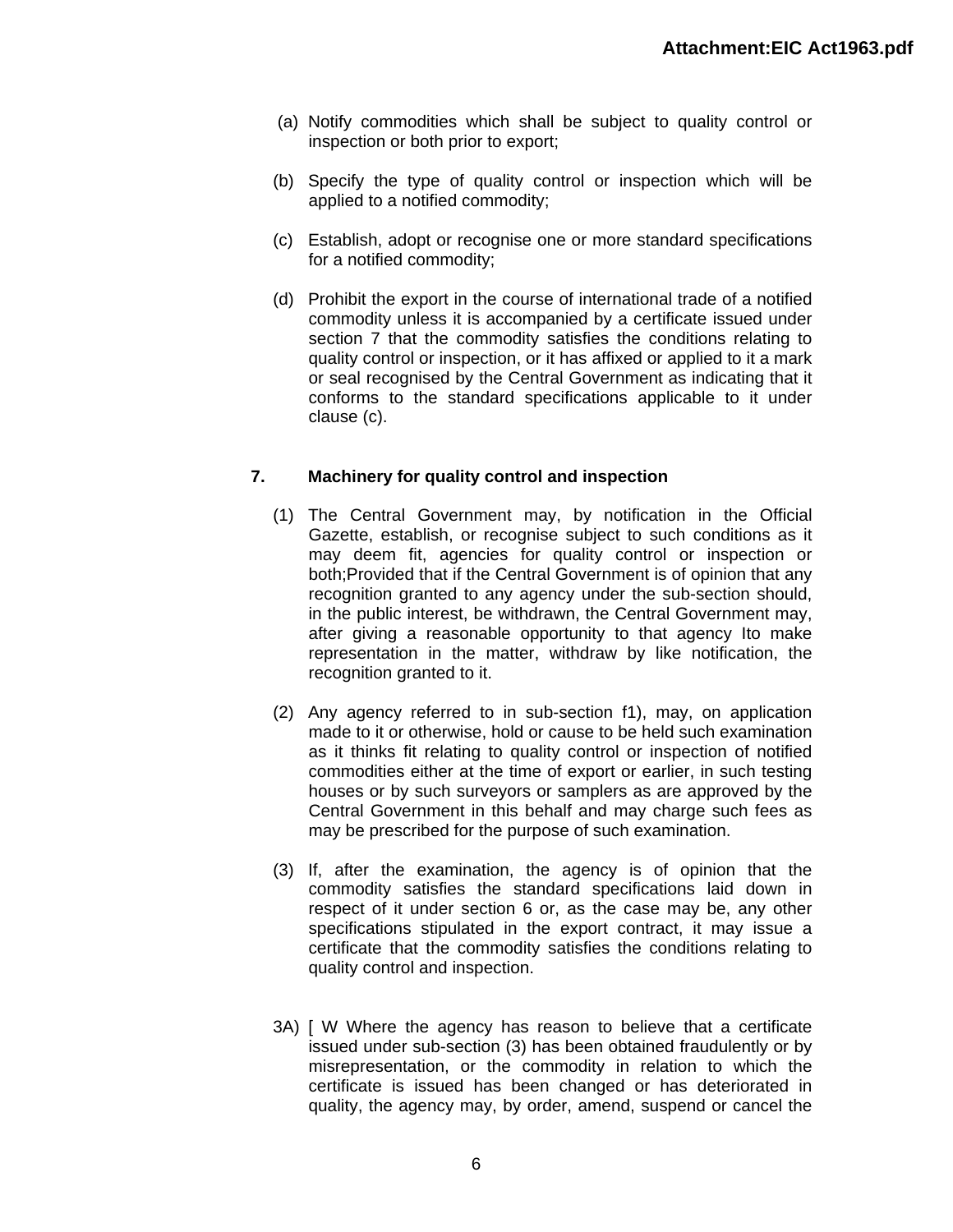- (a) Notify commodities which shall be subject to quality control or inspection or both prior to export;
- (b) Specify the type of quality control or inspection which will be applied to a notified commodity;
- (c) Establish, adopt or recognise one or more standard specifications for a notified commodity;
- (d) Prohibit the export in the course of international trade of a notified commodity unless it is accompanied by a certificate issued under section 7 that the commodity satisfies the conditions relating to quality control or inspection, or it has affixed or applied to it a mark or seal recognised by the Central Government as indicating that it conforms to the standard specifications applicable to it under clause (c).

# **7. Machinery for quality control and inspection**

- (1) The Central Government may, by notification in the Official Gazette, establish, or recognise subject to such conditions as it may deem fit, agencies for quality control or inspection or both;Provided that if the Central Government is of opinion that any recognition granted to any agency under the sub-section should, in the public interest, be withdrawn, the Central Government may, after giving a reasonable opportunity to that agency Ito make representation in the matter, withdraw by like notification, the recognition granted to it.
- (2) Any agency referred to in sub-section f1), may, on application made to it or otherwise, hold or cause to be held such examination as it thinks fit relating to quality control or inspection of notified commodities either at the time of export or earlier, in such testing houses or by such surveyors or samplers as are approved by the Central Government in this behalf and may charge such fees as may be prescribed for the purpose of such examination.
- (3) If, after the examination, the agency is of opinion that the commodity satisfies the standard specifications laid down in respect of it under section 6 or, as the case may be, any other specifications stipulated in the export contract, it may issue a certificate that the commodity satisfies the conditions relating to quality control and inspection.
- 3A) [ W Where the agency has reason to believe that a certificate issued under sub-section (3) has been obtained fraudulently or by misrepresentation, or the commodity in relation to which the certificate is issued has been changed or has deteriorated in quality, the agency may, by order, amend, suspend or cancel the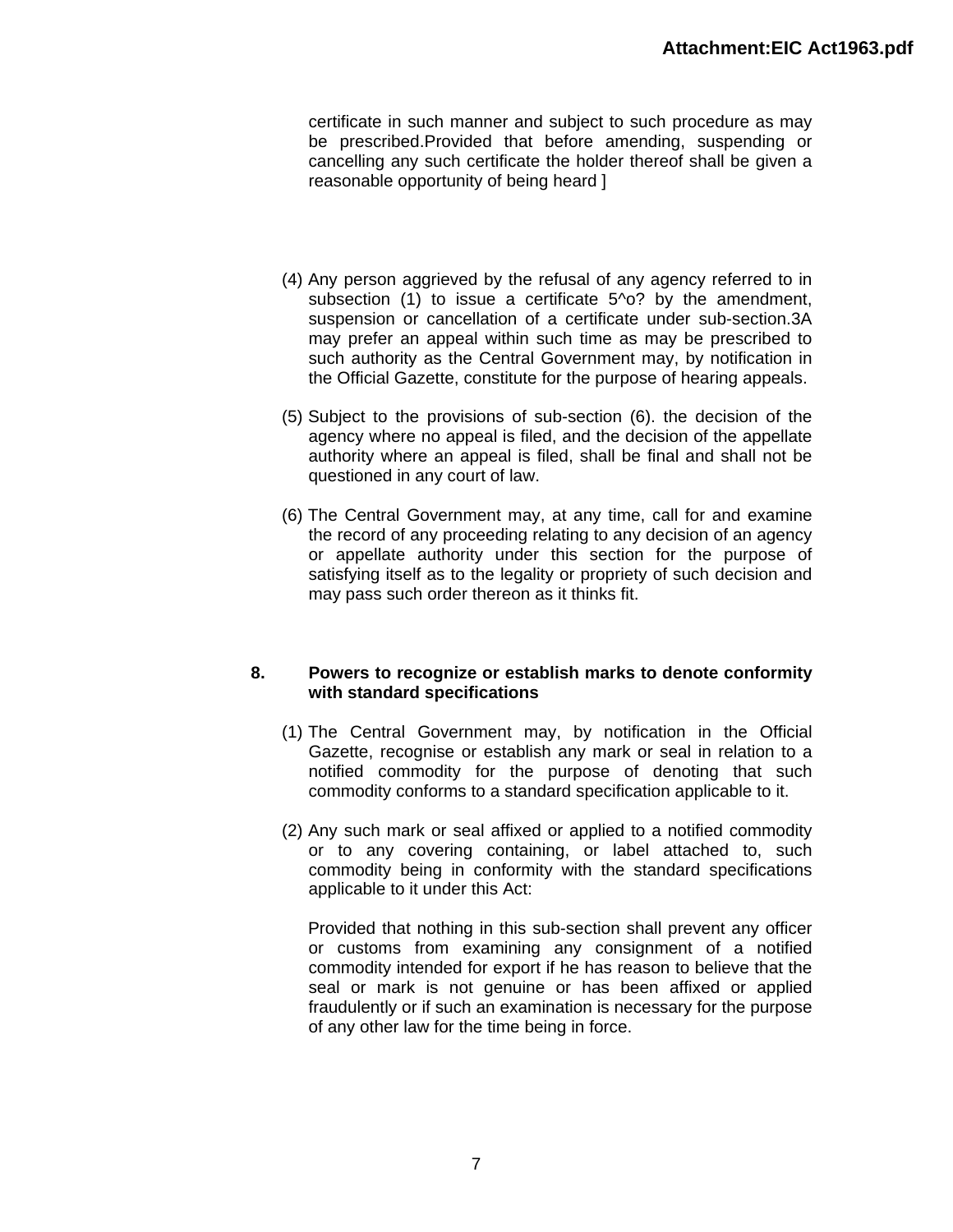certificate in such manner and subject to such procedure as may be prescribed.Provided that before amending, suspending or cancelling any such certificate the holder thereof shall be given a reasonable opportunity of being heard ]

- (4) Any person aggrieved by the refusal of any agency referred to in subsection (1) to issue a certificate 5<sup>1</sup> o? by the amendment, suspension or cancellation of a certificate under sub-section.3A may prefer an appeal within such time as may be prescribed to such authority as the Central Government may, by notification in the Official Gazette, constitute for the purpose of hearing appeals.
- (5) Subject to the provisions of sub-section (6). the decision of the agency where no appeal is filed, and the decision of the appellate authority where an appeal is filed, shall be final and shall not be questioned in any court of law.
- (6) The Central Government may, at any time, call for and examine the record of any proceeding relating to any decision of an agency or appellate authority under this section for the purpose of satisfying itself as to the legality or propriety of such decision and may pass such order thereon as it thinks fit.

### **8. Powers to recognize or establish marks to denote conformity with standard specifications**

- (1) The Central Government may, by notification in the Official Gazette, recognise or establish any mark or seal in relation to a notified commodity for the purpose of denoting that such commodity conforms to a standard specification applicable to it.
- (2) Any such mark or seal affixed or applied to a notified commodity or to any covering containing, or label attached to, such commodity being in conformity with the standard specifications applicable to it under this Act:

Provided that nothing in this sub-section shall prevent any officer or customs from examining any consignment of a notified commodity intended for export if he has reason to believe that the seal or mark is not genuine or has been affixed or applied fraudulently or if such an examination is necessary for the purpose of any other law for the time being in force.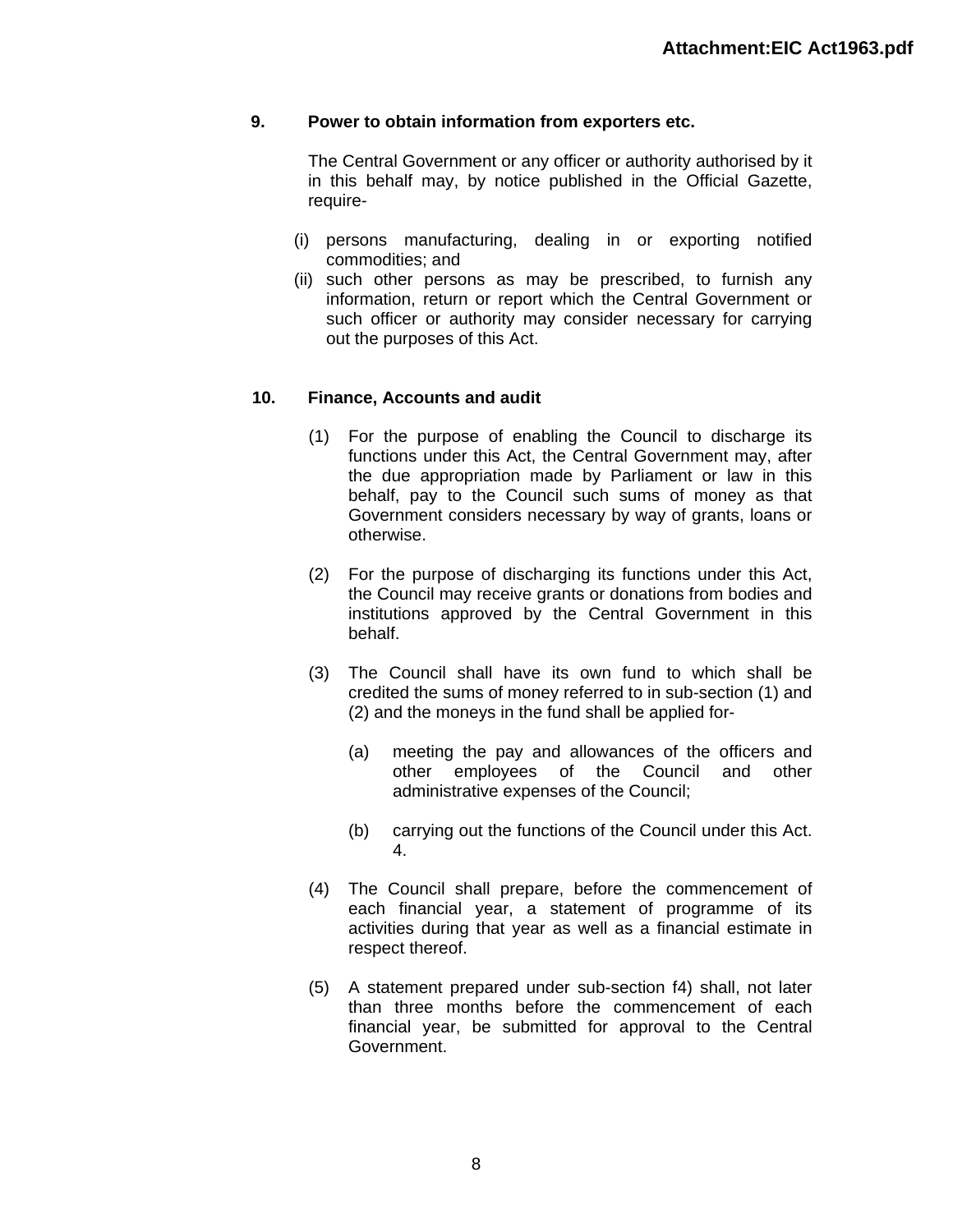# **9. Power to obtain information from exporters etc.**

The Central Government or any officer or authority authorised by it in this behalf may, by notice published in the Official Gazette, require-

- (i) persons manufacturing, dealing in or exporting notified commodities; and
- (ii) such other persons as may be prescribed, to furnish any information, return or report which the Central Government or such officer or authority may consider necessary for carrying out the purposes of this Act.

### **10. Finance, Accounts and audit**

- (1) For the purpose of enabling the Council to discharge its functions under this Act, the Central Government may, after the due appropriation made by Parliament or law in this behalf, pay to the Council such sums of money as that Government considers necessary by way of grants, loans or otherwise.
- (2) For the purpose of discharging its functions under this Act, the Council may receive grants or donations from bodies and institutions approved by the Central Government in this behalf.
- (3) The Council shall have its own fund to which shall be credited the sums of money referred to in sub-section (1) and (2) and the moneys in the fund shall be applied for-
	- (a) meeting the pay and allowances of the officers and other employees of the Council and other administrative expenses of the Council;
	- (b) carrying out the functions of the Council under this Act. 4.
- (4) The Council shall prepare, before the commencement of each financial year, a statement of programme of its activities during that year as well as a financial estimate in respect thereof.
- (5) A statement prepared under sub-section f4) shall, not later than three months before the commencement of each financial year, be submitted for approval to the Central Government.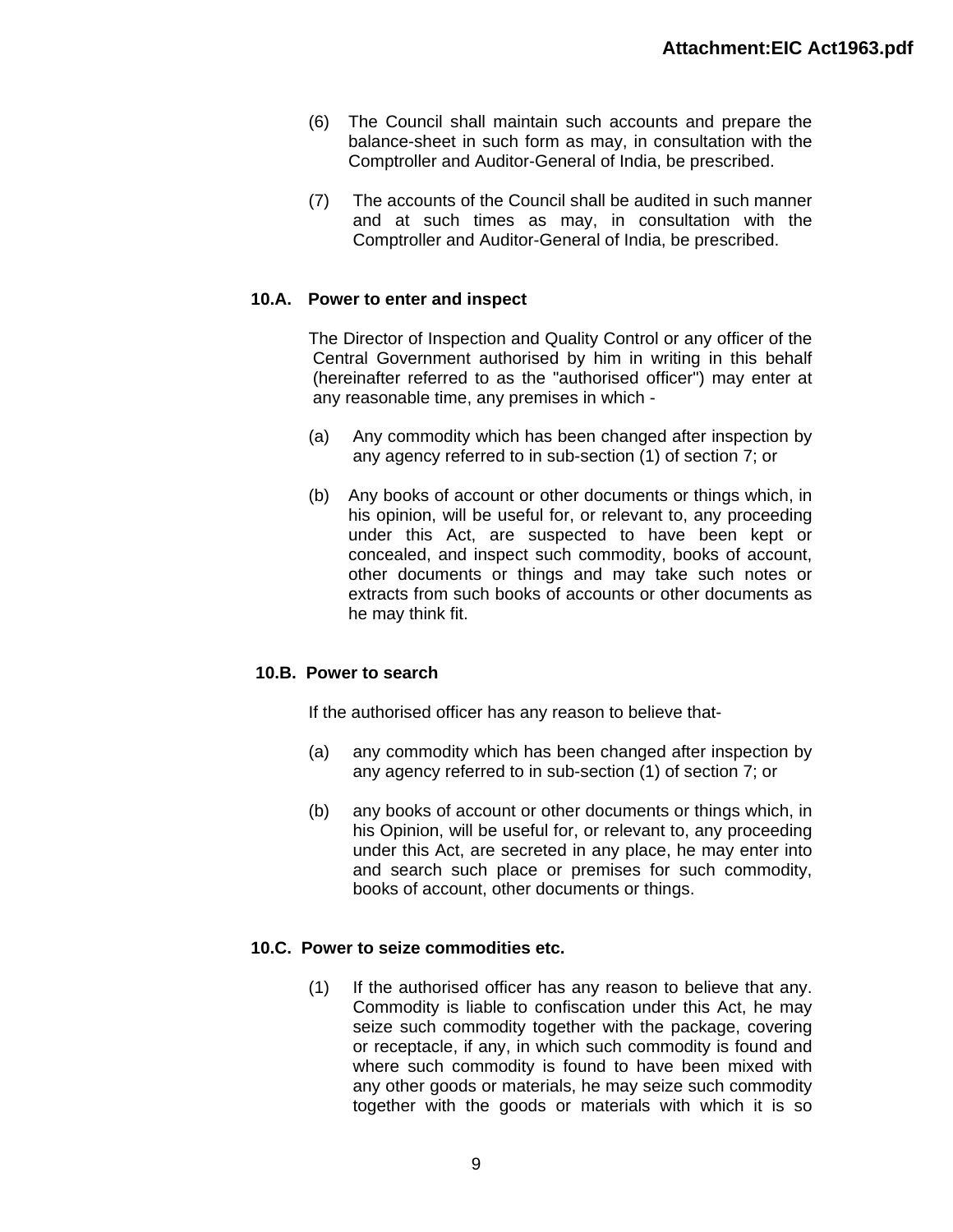- (6) The Council shall maintain such accounts and prepare the balance-sheet in such form as may, in consultation with the Comptroller and Auditor-General of India, be prescribed.
- (7) The accounts of the Council shall be audited in such manner and at such times as may, in consultation with the Comptroller and Auditor-General of India, be prescribed.

# **10.A. Power to enter and inspect**

The Director of Inspection and Quality Control or any officer of the Central Government authorised by him in writing in this behalf (hereinafter referred to as the "authorised officer") may enter at any reasonable time, any premises in which -

- (a) Any commodity which has been changed after inspection by any agency referred to in sub-section (1) of section 7; or
- (b) Any books of account or other documents or things which, in his opinion, will be useful for, or relevant to, any proceeding under this Act, are suspected to have been kept or concealed, and inspect such commodity, books of account, other documents or things and may take such notes or extracts from such books of accounts or other documents as he may think fit.

#### **10.B. Power to search**

If the authorised officer has any reason to believe that-

- (a) any commodity which has been changed after inspection by any agency referred to in sub-section (1) of section 7; or
- (b) any books of account or other documents or things which, in his Opinion, will be useful for, or relevant to, any proceeding under this Act, are secreted in any place, he may enter into and search such place or premises for such commodity, books of account, other documents or things.

#### **10.C. Power to seize commodities etc.**

(1) If the authorised officer has any reason to believe that any. Commodity is liable to confiscation under this Act, he may seize such commodity together with the package, covering or receptacle, if any, in which such commodity is found and where such commodity is found to have been mixed with any other goods or materials, he may seize such commodity together with the goods or materials with which it is so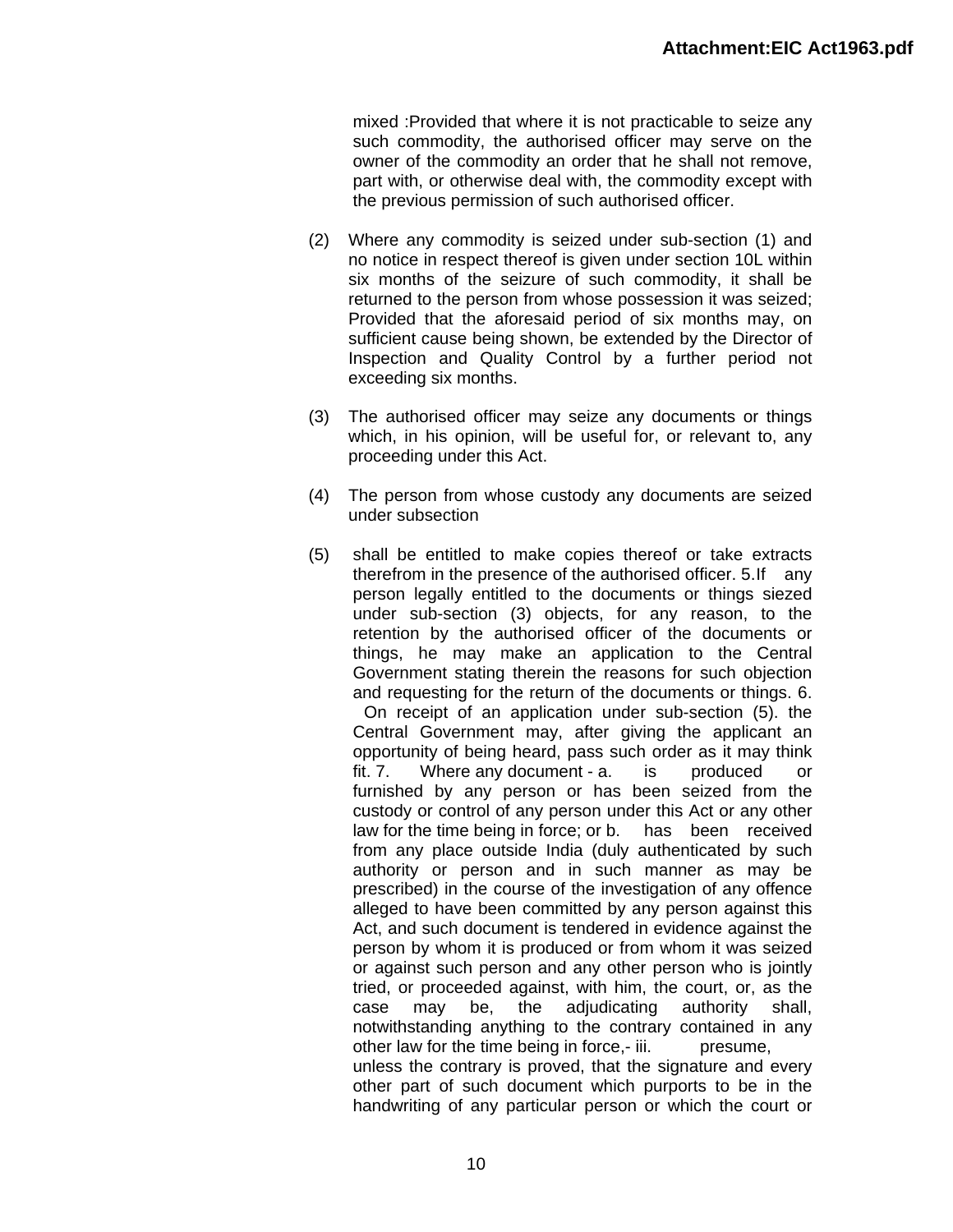mixed :Provided that where it is not practicable to seize any such commodity, the authorised officer may serve on the owner of the commodity an order that he shall not remove, part with, or otherwise deal with, the commodity except with the previous permission of such authorised officer.

- (2) Where any commodity is seized under sub-section (1) and no notice in respect thereof is given under section 10L within six months of the seizure of such commodity, it shall be returned to the person from whose possession it was seized; Provided that the aforesaid period of six months may, on sufficient cause being shown, be extended by the Director of Inspection and Quality Control by a further period not exceeding six months.
- (3) The authorised officer may seize any documents or things which, in his opinion, will be useful for, or relevant to, any proceeding under this Act.
- (4) The person from whose custody any documents are seized under subsection
- (5) shall be entitled to make copies thereof or take extracts therefrom in the presence of the authorised officer. 5. If any person legally entitled to the documents or things siezed under sub-section (3) objects, for any reason, to the retention by the authorised officer of the documents or things, he may make an application to the Central Government stating therein the reasons for such objection and requesting for the return of the documents or things. 6.

On receipt of an application under sub-section (5). the Central Government may, after giving the applicant an opportunity of being heard, pass such order as it may think fit. 7. Where any document - a. is produced or furnished by any person or has been seized from the custody or control of any person under this Act or any other law for the time being in force; or b. has been received from any place outside India (duly authenticated by such authority or person and in such manner as may be prescribed) in the course of the investigation of any offence alleged to have been committed by any person against this Act, and such document is tendered in evidence against the person by whom it is produced or from whom it was seized or against such person and any other person who is jointly tried, or proceeded against, with him, the court, or, as the case may be, the adjudicating authority shall, notwithstanding anything to the contrary contained in any other law for the time being in force,- iii. presume, unless the contrary is proved, that the signature and every other part of such document which purports to be in the handwriting of any particular person or which the court or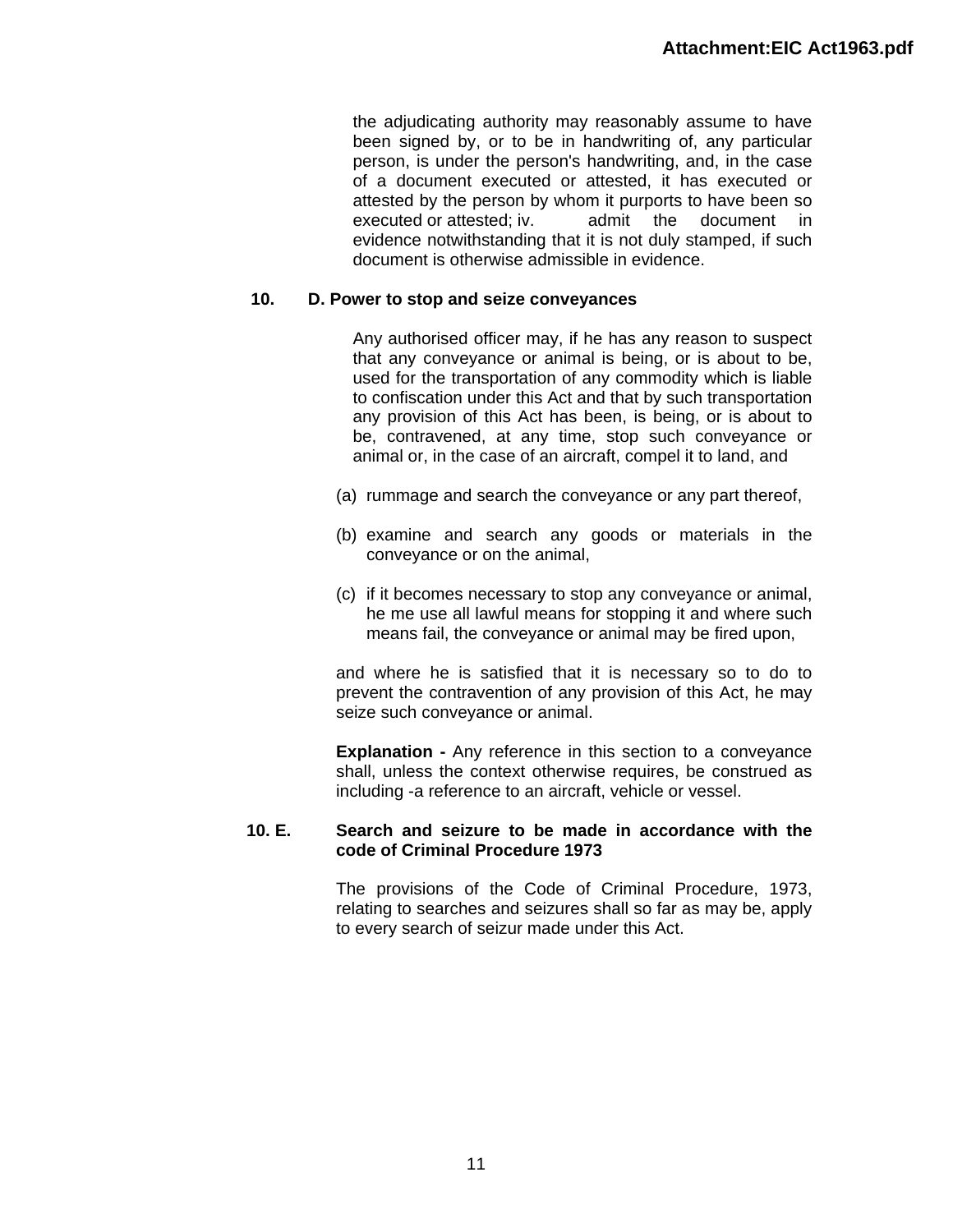the adjudicating authority may reasonably assume to have been signed by, or to be in handwriting of, any particular person, is under the person's handwriting, and, in the case of a document executed or attested, it has executed or attested by the person by whom it purports to have been so executed or attested; iv. admit the document in evidence notwithstanding that it is not duly stamped, if such document is otherwise admissible in evidence.

### **10. D. Power to stop and seize conveyances**

Any authorised officer may, if he has any reason to suspect that any conveyance or animal is being, or is about to be, used for the transportation of any commodity which is liable to confiscation under this Act and that by such transportation any provision of this Act has been, is being, or is about to be, contravened, at any time, stop such conveyance or animal or, in the case of an aircraft, compel it to land, and

- (a) rummage and search the conveyance or any part thereof,
- (b) examine and search any goods or materials in the conveyance or on the animal,
- (c) if it becomes necessary to stop any conveyance or animal, he me use all lawful means for stopping it and where such means fail, the conveyance or animal may be fired upon,

and where he is satisfied that it is necessary so to do to prevent the contravention of any provision of this Act, he may seize such conveyance or animal.

**Explanation -** Any reference in this section to a conveyance shall, unless the context otherwise requires, be construed as including -a reference to an aircraft, vehicle or vessel.

### **10. E. Search and seizure to be made in accordance with the code of Criminal Procedure 1973**

The provisions of the Code of Criminal Procedure, 1973, relating to searches and seizures shall so far as may be, apply to every search of seizur made under this Act.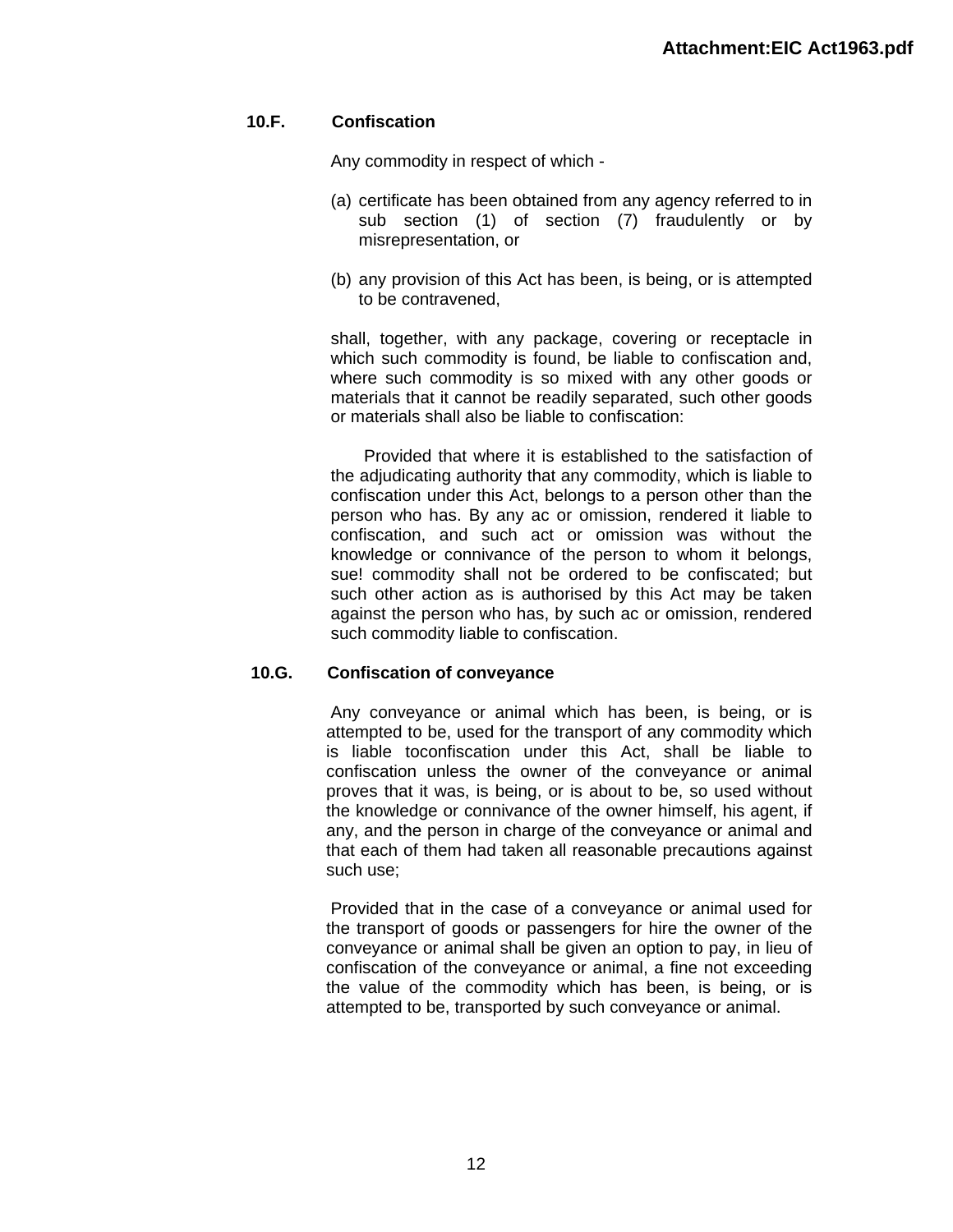# **10.F. Confiscation**

Any commodity in respect of which -

- (a) certificate has been obtained from any agency referred to in sub section (1) of section (7) fraudulently or by misrepresentation, or
- (b) any provision of this Act has been, is being, or is attempted to be contravened,

shall, together, with any package, covering or receptacle in which such commodity is found, be liable to confiscation and, where such commodity is so mixed with any other goods or materials that it cannot be readily separated, such other goods or materials shall also be liable to confiscation:

Provided that where it is established to the satisfaction of the adjudicating authority that any commodity, which is liable to confiscation under this Act, belongs to a person other than the person who has. By any ac or omission, rendered it liable to confiscation, and such act or omission was without the knowledge or connivance of the person to whom it belongs, sue! commodity shall not be ordered to be confiscated; but such other action as is authorised by this Act may be taken against the person who has, by such ac or omission, rendered such commodity liable to confiscation.

# **10.G. Confiscation of conveyance**

Any conveyance or animal which has been, is being, or is attempted to be, used for the transport of any commodity which is liable toconfiscation under this Act, shall be liable to confiscation unless the owner of the conveyance or animal proves that it was, is being, or is about to be, so used without the knowledge or connivance of the owner himself, his agent, if any, and the person in charge of the conveyance or animal and that each of them had taken all reasonable precautions against such use;

Provided that in the case of a conveyance or animal used for the transport of goods or passengers for hire the owner of the conveyance or animal shall be given an option to pay, in lieu of confiscation of the conveyance or animal, a fine not exceeding the value of the commodity which has been, is being, or is attempted to be, transported by such conveyance or animal.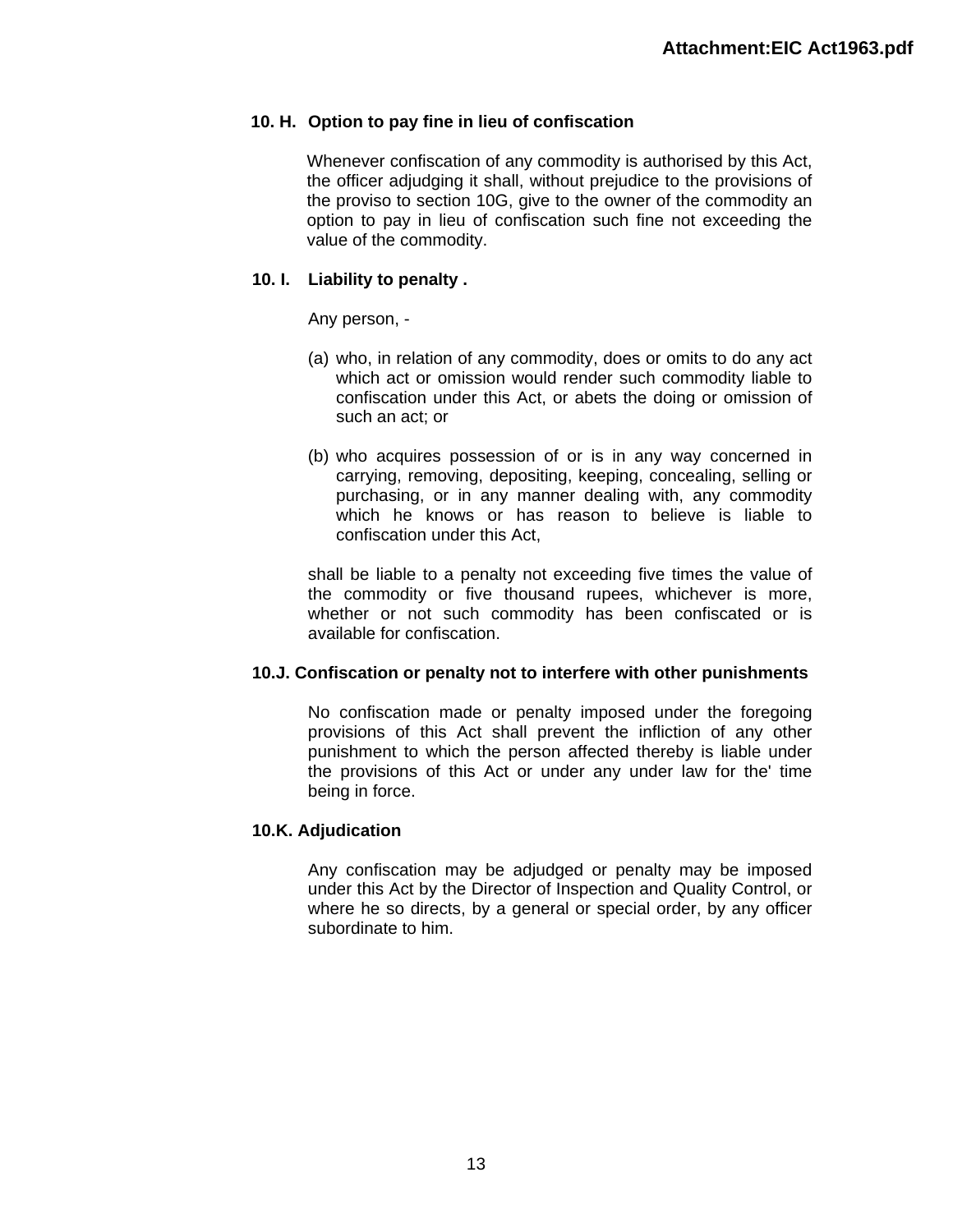# **10. H. Option to pay fine in lieu of confiscation**

Whenever confiscation of any commodity is authorised by this Act, the officer adjudging it shall, without prejudice to the provisions of the proviso to section 10G, give to the owner of the commodity an option to pay in lieu of confiscation such fine not exceeding the value of the commodity.

# **10. I. Liability to penalty .**

Any person, -

- (a) who, in relation of any commodity, does or omits to do any act which act or omission would render such commodity liable to confiscation under this Act, or abets the doing or omission of such an act; or
- (b) who acquires possession of or is in any way concerned in carrying, removing, depositing, keeping, concealing, selling or purchasing, or in any manner dealing with, any commodity which he knows or has reason to believe is liable to confiscation under this Act,

shall be liable to a penalty not exceeding five times the value of the commodity or five thousand rupees, whichever is more, whether or not such commodity has been confiscated or is available for confiscation.

#### **10.J. Confiscation or penalty not to interfere with other punishments**

No confiscation made or penalty imposed under the foregoing provisions of this Act shall prevent the infliction of any other punishment to which the person affected thereby is liable under the provisions of this Act or under any under law for the' time being in force.

#### **10.K. Adjudication**

Any confiscation may be adjudged or penalty may be imposed under this Act by the Director of Inspection and Quality Control, or where he so directs, by a general or special order, by any officer subordinate to him.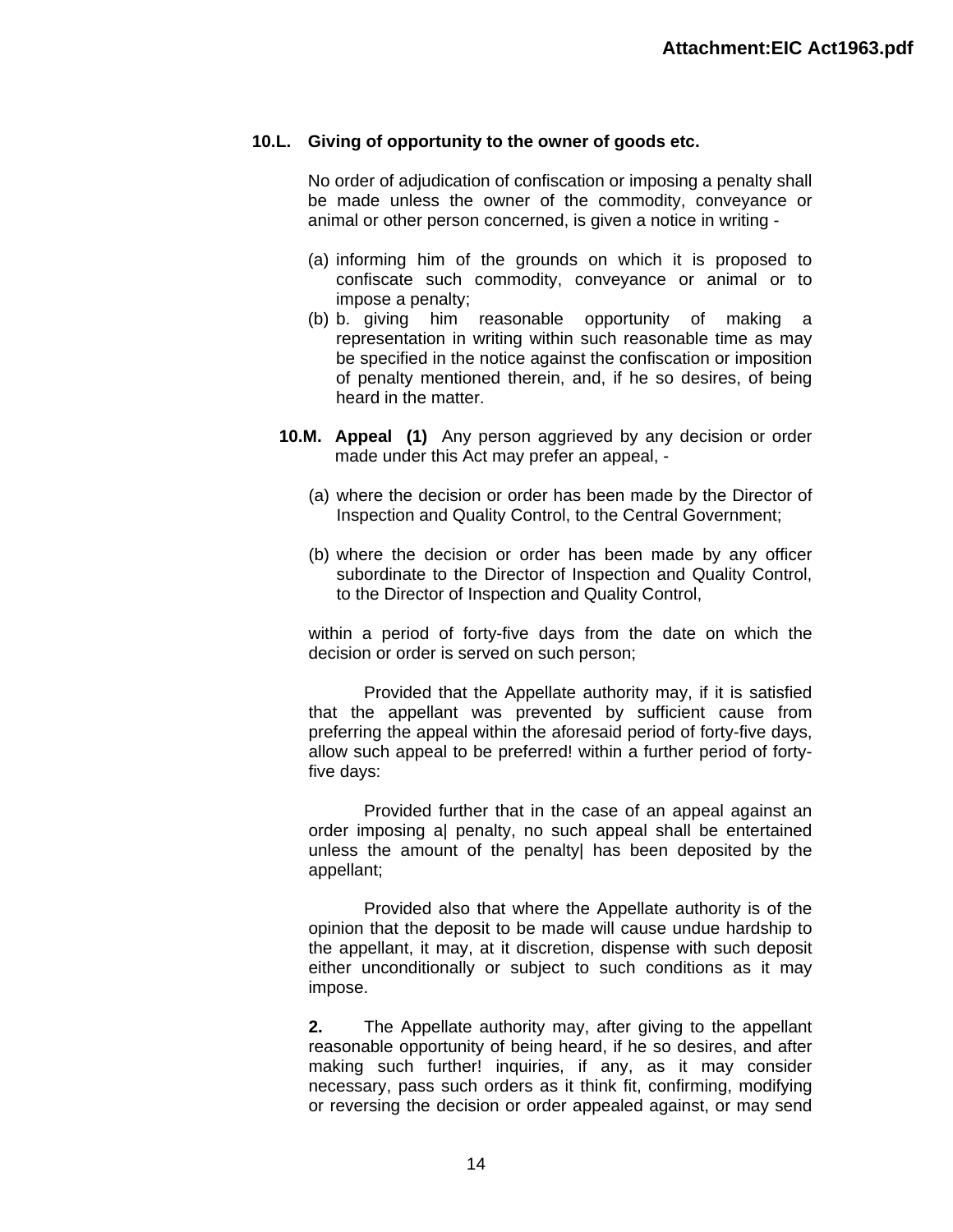#### **10.L. Giving of opportunity to the owner of goods etc.**

No order of adjudication of confiscation or imposing a penalty shall be made unless the owner of the commodity, conveyance or animal or other person concerned, is given a notice in writing -

- (a) informing him of the grounds on which it is proposed to confiscate such commodity, conveyance or animal or to impose a penalty;
- (b) b. giving him reasonable opportunity of making a representation in writing within such reasonable time as may be specified in the notice against the confiscation or imposition of penalty mentioned therein, and, if he so desires, of being heard in the matter.
- **10.M. Appeal (1)** Any person aggrieved by any decision or order made under this Act may prefer an appeal, -
	- (a) where the decision or order has been made by the Director of Inspection and Quality Control, to the Central Government;
	- (b) where the decision or order has been made by any officer subordinate to the Director of Inspection and Quality Control, to the Director of Inspection and Quality Control,

within a period of forty-five days from the date on which the decision or order is served on such person;

Provided that the Appellate authority may, if it is satisfied that the appellant was prevented by sufficient cause from preferring the appeal within the aforesaid period of forty-five days, allow such appeal to be preferred! within a further period of fortyfive days:

Provided further that in the case of an appeal against an order imposing a| penalty, no such appeal shall be entertained unless the amount of the penalty| has been deposited by the appellant;

Provided also that where the Appellate authority is of the opinion that the deposit to be made will cause undue hardship to the appellant, it may, at it discretion, dispense with such deposit either unconditionally or subject to such conditions as it may impose.

**2.** The Appellate authority may, after giving to the appellant reasonable opportunity of being heard, if he so desires, and after making such further! inquiries, if any, as it may consider necessary, pass such orders as it think fit, confirming, modifying or reversing the decision or order appealed against, or may send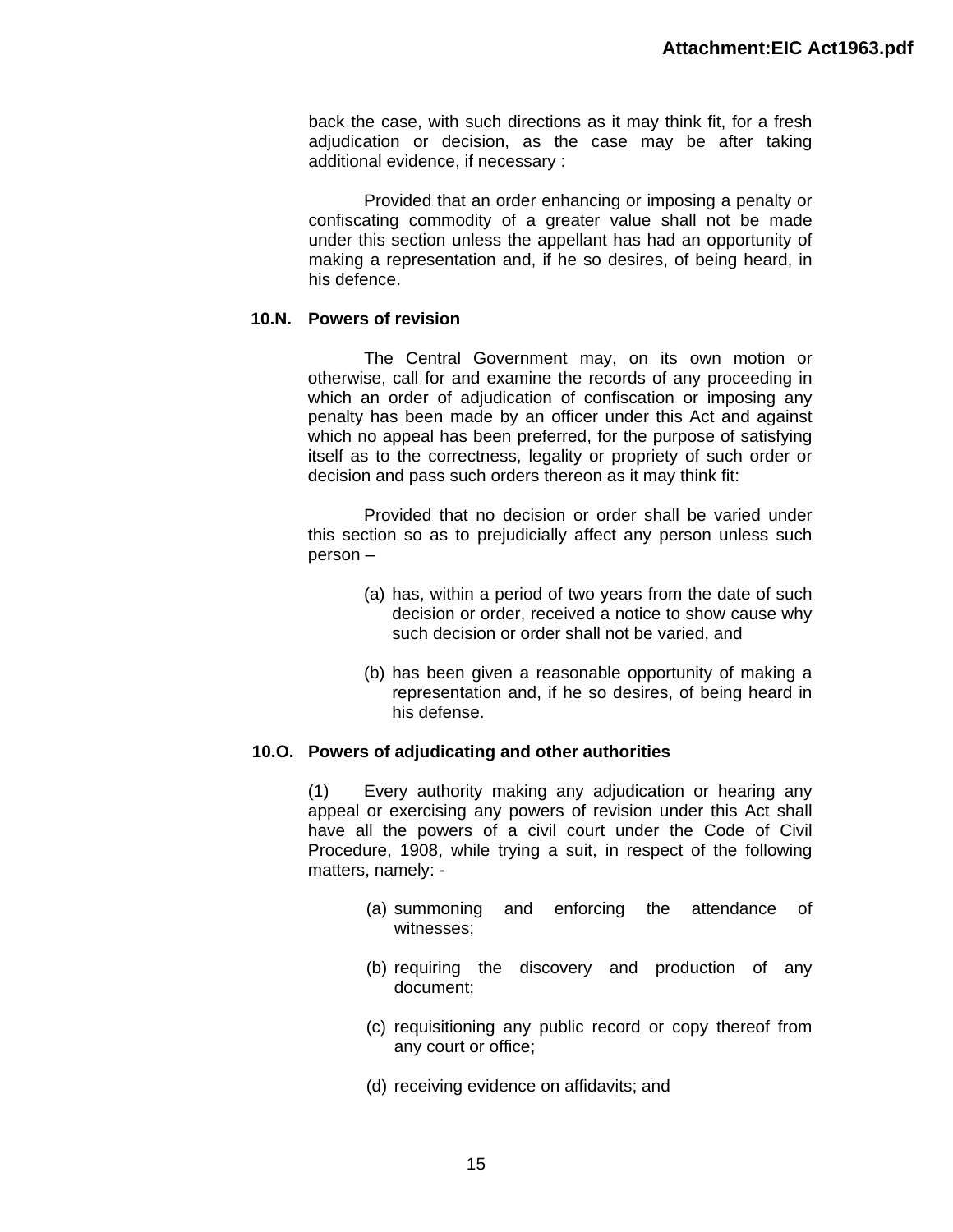back the case, with such directions as it may think fit, for a fresh adjudication or decision, as the case may be after taking additional evidence, if necessary :

Provided that an order enhancing or imposing a penalty or confiscating commodity of a greater value shall not be made under this section unless the appellant has had an opportunity of making a representation and, if he so desires, of being heard, in his defence.

### **10.N. Powers of revision**

The Central Government may, on its own motion or otherwise, call for and examine the records of any proceeding in which an order of adjudication of confiscation or imposing any penalty has been made by an officer under this Act and against which no appeal has been preferred, for the purpose of satisfying itself as to the correctness, legality or propriety of such order or decision and pass such orders thereon as it may think fit:

Provided that no decision or order shall be varied under this section so as to prejudicially affect any person unless such person –

- (a) has, within a period of two years from the date of such decision or order, received a notice to show cause why such decision or order shall not be varied, and
- (b) has been given a reasonable opportunity of making a representation and, if he so desires, of being heard in his defense.

# **10.O. Powers of adjudicating and other authorities**

(1) Every authority making any adjudication or hearing any appeal or exercising any powers of revision under this Act shall have all the powers of a civil court under the Code of Civil Procedure, 1908, while trying a suit, in respect of the following matters, namely: -

- (a) summoning and enforcing the attendance of witnesses;
- (b) requiring the discovery and production of any document;
- (c) requisitioning any public record or copy thereof from any court or office;
- (d) receiving evidence on affidavits; and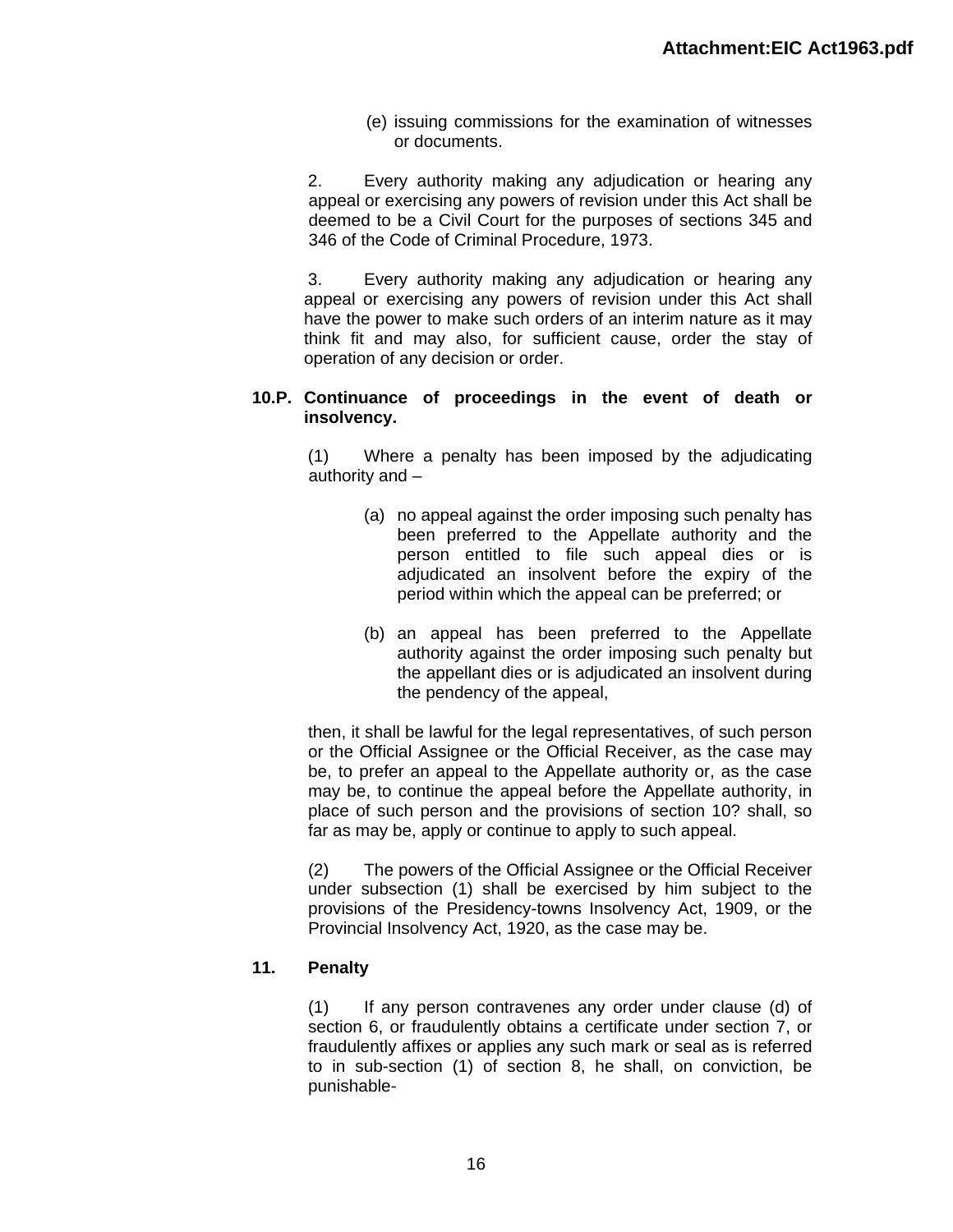(e) issuing commissions for the examination of witnesses or documents.

2. Every authority making any adjudication or hearing any appeal or exercising any powers of revision under this Act shall be deemed to be a Civil Court for the purposes of sections 345 and 346 of the Code of Criminal Procedure, 1973.

3. Every authority making any adjudication or hearing any appeal or exercising any powers of revision under this Act shall have the power to make such orders of an interim nature as it may think fit and may also, for sufficient cause, order the stay of operation of any decision or order.

# **10.P. Continuance of proceedings in the event of death or insolvency.**

(1) Where a penalty has been imposed by the adjudicating authority and –

- (a) no appeal against the order imposing such penalty has been preferred to the Appellate authority and the person entitled to file such appeal dies or is adjudicated an insolvent before the expiry of the period within which the appeal can be preferred; or
- (b) an appeal has been preferred to the Appellate authority against the order imposing such penalty but the appellant dies or is adjudicated an insolvent during the pendency of the appeal,

then, it shall be lawful for the legal representatives, of such person or the Official Assignee or the Official Receiver, as the case may be, to prefer an appeal to the Appellate authority or, as the case may be, to continue the appeal before the Appellate authority, in place of such person and the provisions of section 10? shall, so far as may be, apply or continue to apply to such appeal.

(2) The powers of the Official Assignee or the Official Receiver under subsection (1) shall be exercised by him subject to the provisions of the Presidency-towns Insolvency Act, 1909, or the Provincial Insolvency Act, 1920, as the case may be.

# **11. Penalty**

(1) If any person contravenes any order under clause (d) of section 6, or fraudulently obtains a certificate under section 7, or fraudulently affixes or applies any such mark or seal as is referred to in sub-section (1) of section 8, he shall, on conviction, be punishable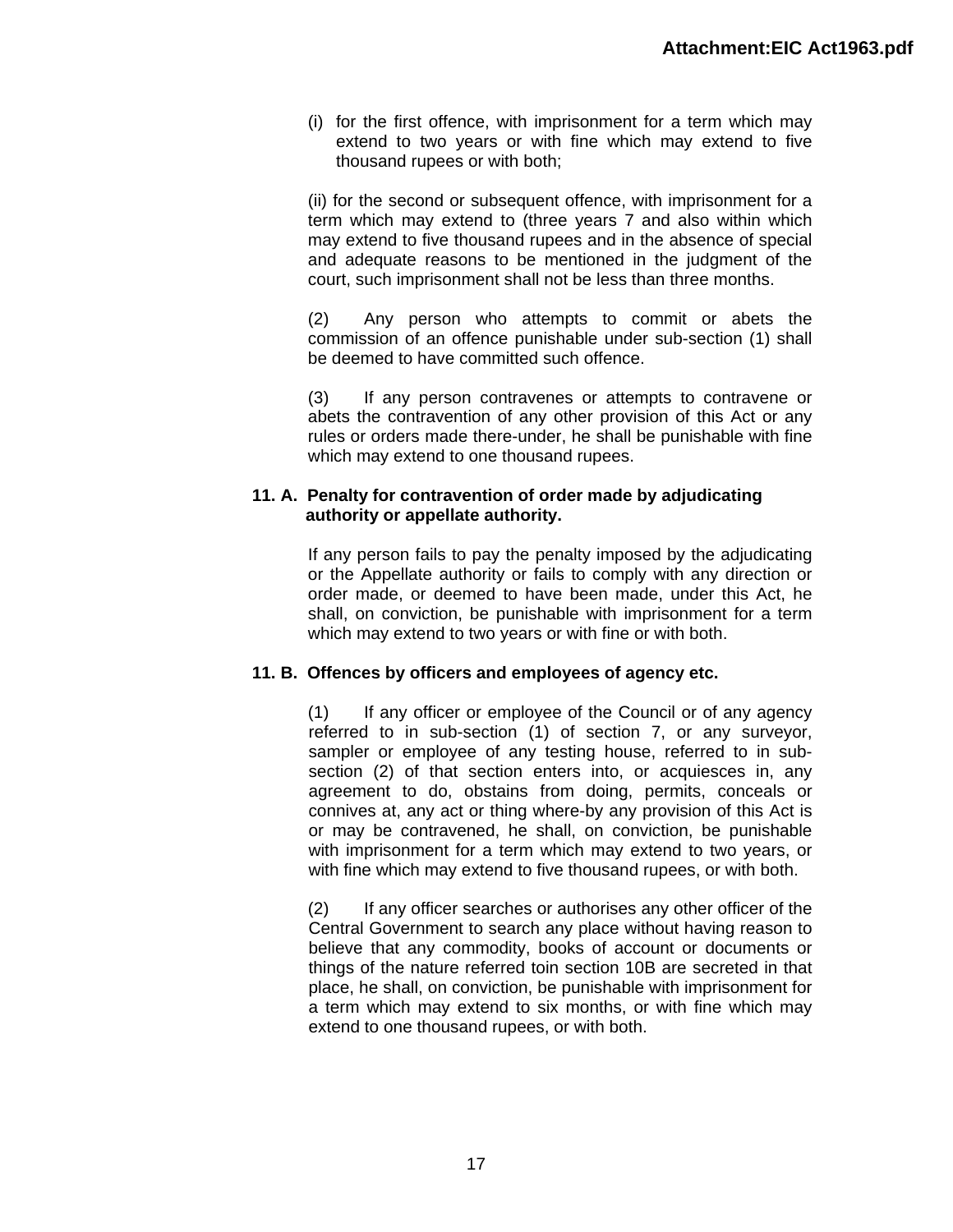(i) for the first offence, with imprisonment for a term which may extend to two years or with fine which may extend to five thousand rupees or with both;

(ii) for the second or subsequent offence, with imprisonment for a term which may extend to (three years 7 and also within which may extend to five thousand rupees and in the absence of special and adequate reasons to be mentioned in the judgment of the court, such imprisonment shall not be less than three months.

(2) Any person who attempts to commit or abets the commission of an offence punishable under sub-section (1) shall be deemed to have committed such offence.

(3) If any person contravenes or attempts to contravene or abets the contravention of any other provision of this Act or any rules or orders made there-under, he shall be punishable with fine which may extend to one thousand rupees.

### **11. A. Penalty for contravention of order made by adjudicating authority or appellate authority.**

If any person fails to pay the penalty imposed by the adjudicating or the Appellate authority or fails to comply with any direction or order made, or deemed to have been made, under this Act, he shall, on conviction, be punishable with imprisonment for a term which may extend to two years or with fine or with both.

# **11. B. Offences by officers and employees of agency etc.**

(1) If any officer or employee of the Council or of any agency referred to in sub-section (1) of section 7, or any surveyor, sampler or employee of any testing house, referred to in subsection (2) of that section enters into, or acquiesces in, any agreement to do, obstains from doing, permits, conceals or connives at, any act or thing where-by any provision of this Act is or may be contravened, he shall, on conviction, be punishable with imprisonment for a term which may extend to two years, or with fine which may extend to five thousand rupees, or with both.

(2) If any officer searches or authorises any other officer of the Central Government to search any place without having reason to believe that any commodity, books of account or documents or things of the nature referred toin section 10B are secreted in that place, he shall, on conviction, be punishable with imprisonment for a term which may extend to six months, or with fine which may extend to one thousand rupees, or with both.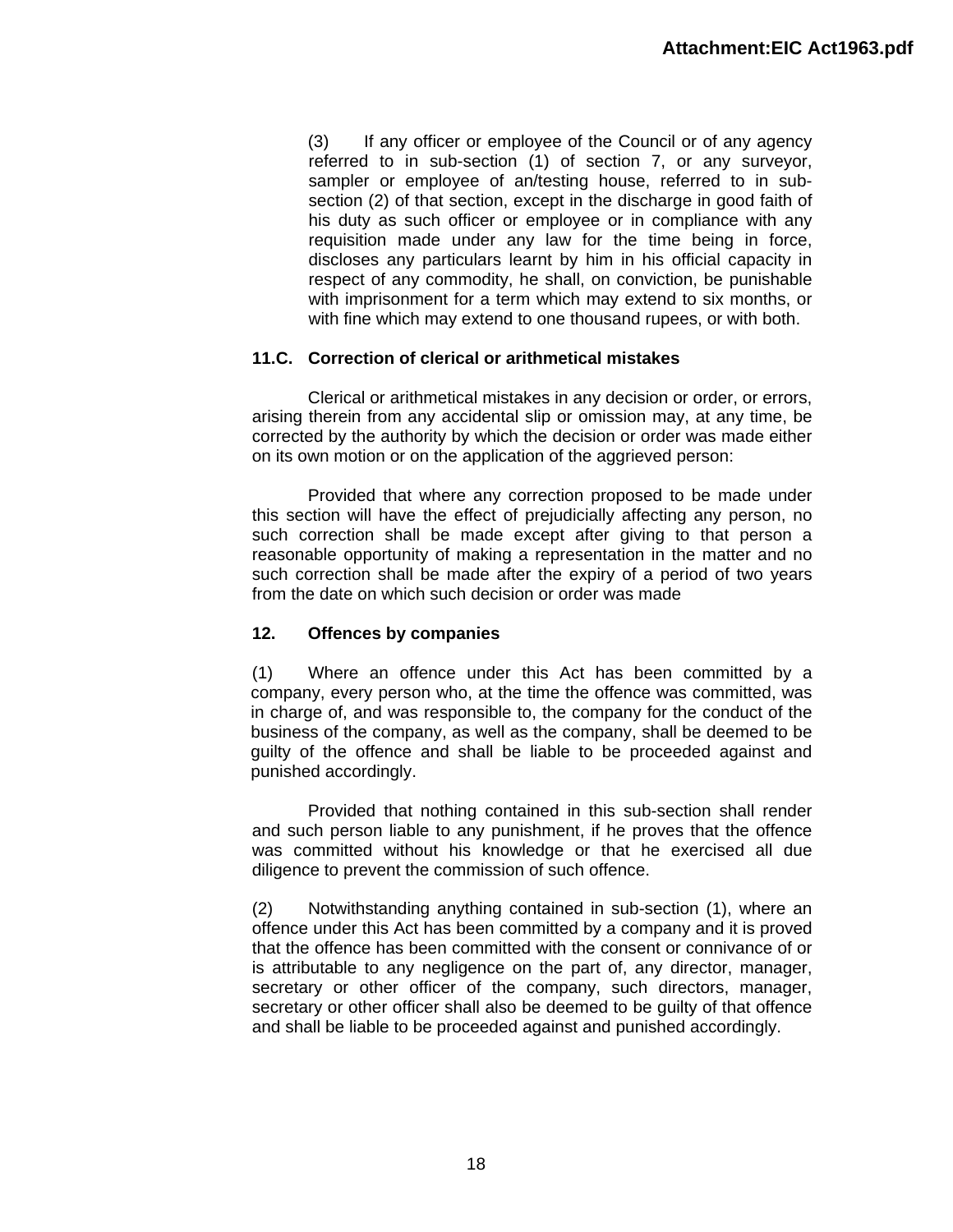(3) If any officer or employee of the Council or of any agency referred to in sub-section (1) of section 7, or any surveyor, sampler or employee of an/testing house, referred to in subsection (2) of that section, except in the discharge in good faith of his duty as such officer or employee or in compliance with any requisition made under any law for the time being in force, discloses any particulars learnt by him in his official capacity in respect of any commodity, he shall, on conviction, be punishable with imprisonment for a term which may extend to six months, or with fine which may extend to one thousand rupees, or with both.

# **11.C. Correction of clerical or arithmetical mistakes**

Clerical or arithmetical mistakes in any decision or order, or errors, arising therein from any accidental slip or omission may, at any time, be corrected by the authority by which the decision or order was made either on its own motion or on the application of the aggrieved person:

Provided that where any correction proposed to be made under this section will have the effect of prejudicially affecting any person, no such correction shall be made except after giving to that person a reasonable opportunity of making a representation in the matter and no such correction shall be made after the expiry of a period of two years from the date on which such decision or order was made

# **12. Offences by companies**

(1) Where an offence under this Act has been committed by a company, every person who, at the time the offence was committed, was in charge of, and was responsible to, the company for the conduct of the business of the company, as well as the company, shall be deemed to be guilty of the offence and shall be liable to be proceeded against and punished accordingly.

Provided that nothing contained in this sub-section shall render and such person liable to any punishment, if he proves that the offence was committed without his knowledge or that he exercised all due diligence to prevent the commission of such offence.

(2) Notwithstanding anything contained in sub-section (1), where an offence under this Act has been committed by a company and it is proved that the offence has been committed with the consent or connivance of or is attributable to any negligence on the part of, any director, manager, secretary or other officer of the company, such directors, manager, secretary or other officer shall also be deemed to be guilty of that offence and shall be liable to be proceeded against and punished accordingly.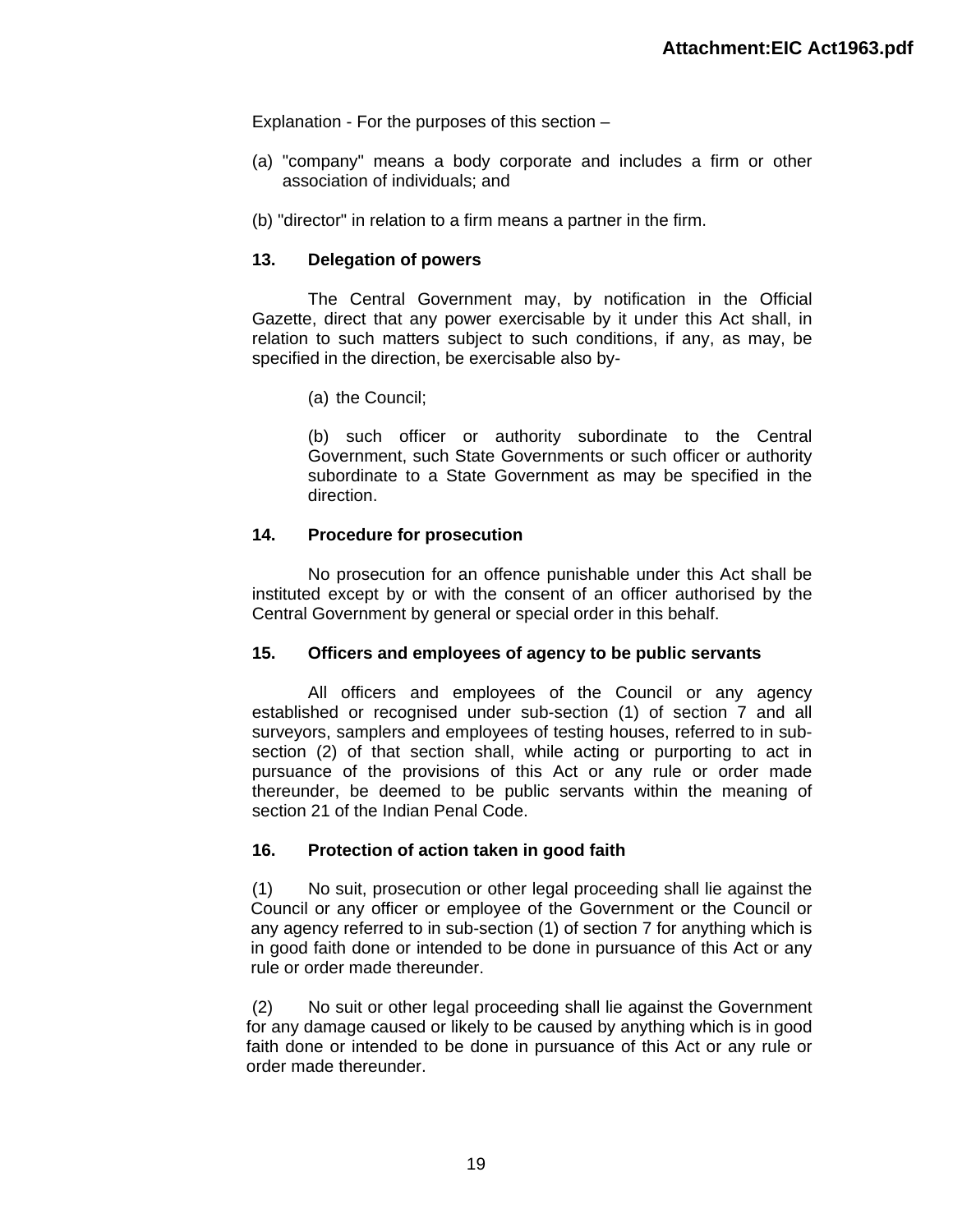Explanation - For the purposes of this section –

- (a) "company" means a body corporate and includes a firm or other association of individuals; and
- (b) "director" in relation to a firm means a partner in the firm.

# **13. Delegation of powers**

The Central Government may, by notification in the Official Gazette, direct that any power exercisable by it under this Act shall, in relation to such matters subject to such conditions, if any, as may, be specified in the direction, be exercisable also by-

(a) the Council;

(b) such officer or authority subordinate to the Central Government, such State Governments or such officer or authority subordinate to a State Government as may be specified in the direction.

# **14. Procedure for prosecution**

No prosecution for an offence punishable under this Act shall be instituted except by or with the consent of an officer authorised by the Central Government by general or special order in this behalf.

# **15. Officers and employees of agency to be public servants**

All officers and employees of the Council or any agency established or recognised under sub-section (1) of section 7 and all surveyors, samplers and employees of testing houses, referred to in subsection (2) of that section shall, while acting or purporting to act in pursuance of the provisions of this Act or any rule or order made thereunder, be deemed to be public servants within the meaning of section 21 of the Indian Penal Code.

# **16. Protection of action taken in good faith**

(1) No suit, prosecution or other legal proceeding shall lie against the Council or any officer or employee of the Government or the Council or any agency referred to in sub-section (1) of section 7 for anything which is in good faith done or intended to be done in pursuance of this Act or any rule or order made thereunder.

(2) No suit or other legal proceeding shall lie against the Government for any damage caused or likely to be caused by anything which is in good faith done or intended to be done in pursuance of this Act or any rule or order made thereunder.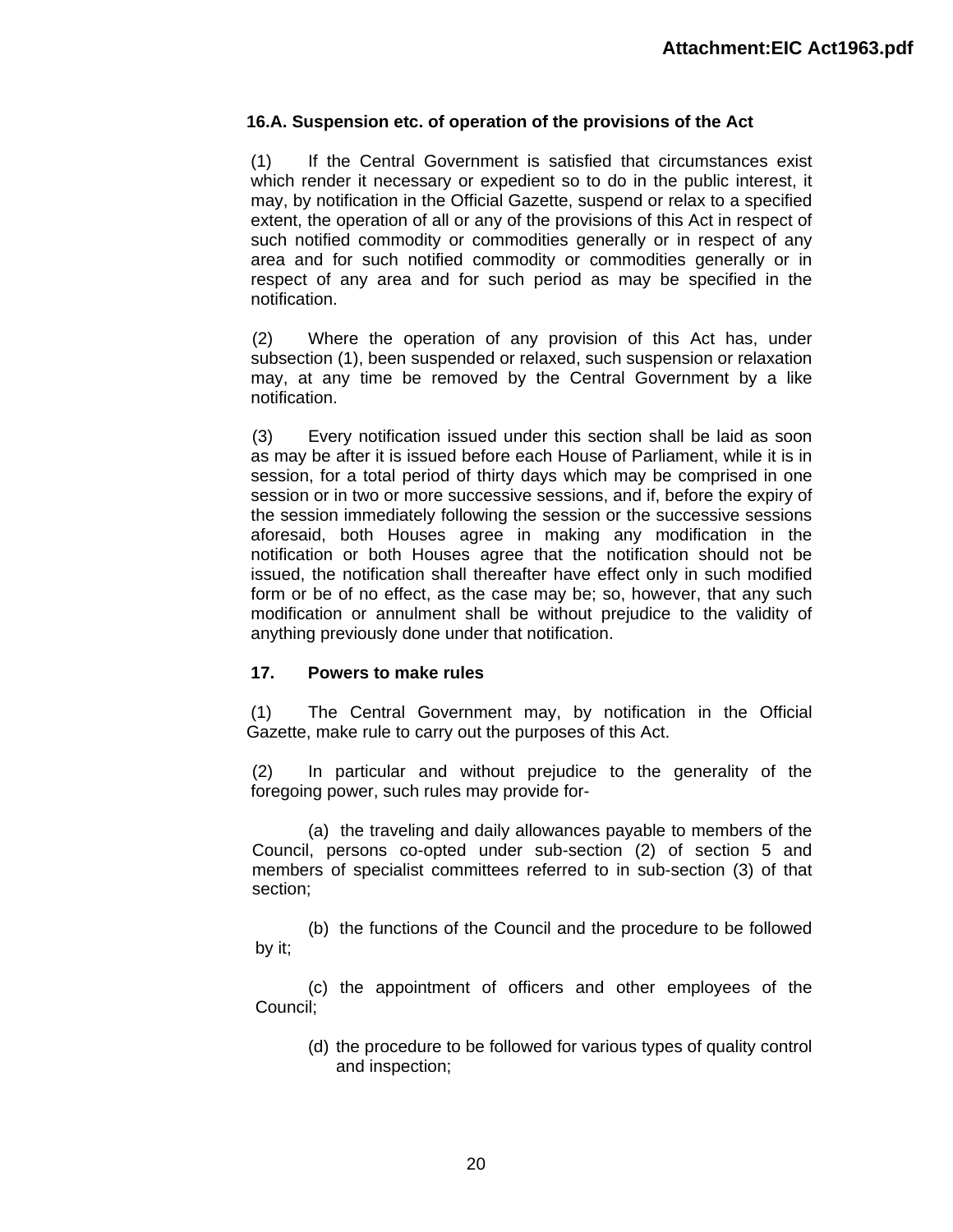# **16.A. Suspension etc. of operation of the provisions of the Act**

(1) If the Central Government is satisfied that circumstances exist which render it necessary or expedient so to do in the public interest, it may, by notification in the Official Gazette, suspend or relax to a specified extent, the operation of all or any of the provisions of this Act in respect of such notified commodity or commodities generally or in respect of any area and for such notified commodity or commodities generally or in respect of any area and for such period as may be specified in the notification.

(2) Where the operation of any provision of this Act has, under subsection (1), been suspended or relaxed, such suspension or relaxation may, at any time be removed by the Central Government by a like notification.

(3) Every notification issued under this section shall be laid as soon as may be after it is issued before each House of Parliament, while it is in session, for a total period of thirty days which may be comprised in one session or in two or more successive sessions, and if, before the expiry of the session immediately following the session or the successive sessions aforesaid, both Houses agree in making any modification in the notification or both Houses agree that the notification should not be issued, the notification shall thereafter have effect only in such modified form or be of no effect, as the case may be; so, however, that any such modification or annulment shall be without prejudice to the validity of anything previously done under that notification.

# **17. Powers to make rules**

(1) The Central Government may, by notification in the Official Gazette, make rule to carry out the purposes of this Act.

(2) In particular and without prejudice to the generality of the foregoing power, such rules may provide for-

(a) the traveling and daily allowances payable to members of the Council, persons co-opted under sub-section (2) of section 5 and members of specialist committees referred to in sub-section (3) of that section;

(b) the functions of the Council and the procedure to be followed by it;

(c) the appointment of officers and other employees of the Council;

(d) the procedure to be followed for various types of quality control and inspection;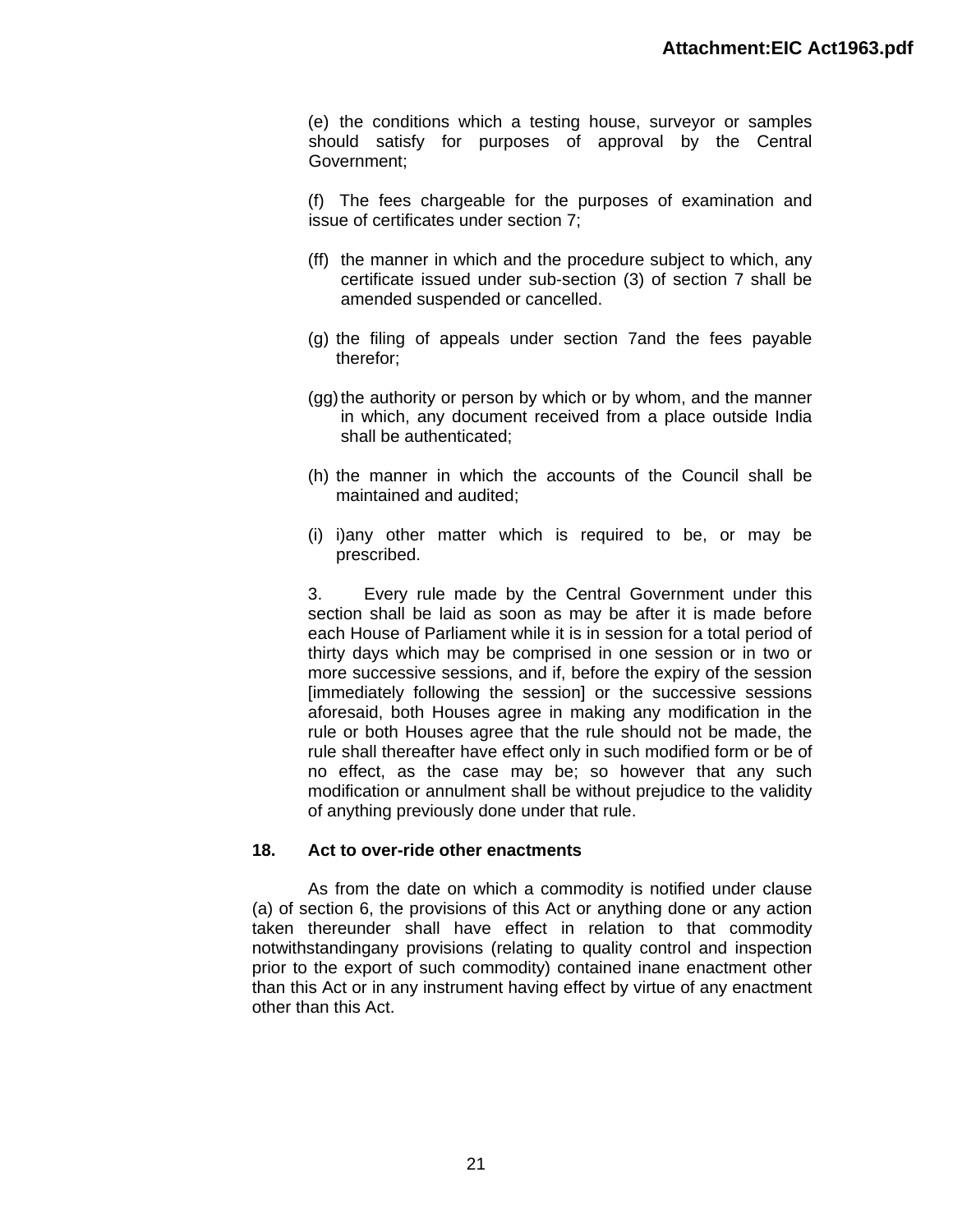(e) the conditions which a testing house, surveyor or samples should satisfy for purposes of approval by the Central Government;

(f) The fees chargeable for the purposes of examination and issue of certificates under section 7;

- (ff) the manner in which and the procedure subject to which, any certificate issued under sub-section (3) of section 7 shall be amended suspended or cancelled.
- (g) the filing of appeals under section 7and the fees payable therefor;
- (gg) the authority or person by which or by whom, and the manner in which, any document received from a place outside India shall be authenticated;
- (h) the manner in which the accounts of the Council shall be maintained and audited;
- (i) i)any other matter which is required to be, or may be prescribed.

3. Every rule made by the Central Government under this section shall be laid as soon as may be after it is made before each House of Parliament while it is in session for a total period of thirty days which may be comprised in one session or in two or more successive sessions, and if, before the expiry of the session [immediately following the session] or the successive sessions aforesaid, both Houses agree in making any modification in the rule or both Houses agree that the rule should not be made, the rule shall thereafter have effect only in such modified form or be of no effect, as the case may be; so however that any such modification or annulment shall be without prejudice to the validity of anything previously done under that rule.

#### **18. Act to over-ride other enactments**

As from the date on which a commodity is notified under clause (a) of section 6, the provisions of this Act or anything done or any action taken thereunder shall have effect in relation to that commodity notwithstandingany provisions (relating to quality control and inspection prior to the export of such commodity) contained inane enactment other than this Act or in any instrument having effect by virtue of any enactment other than this Act.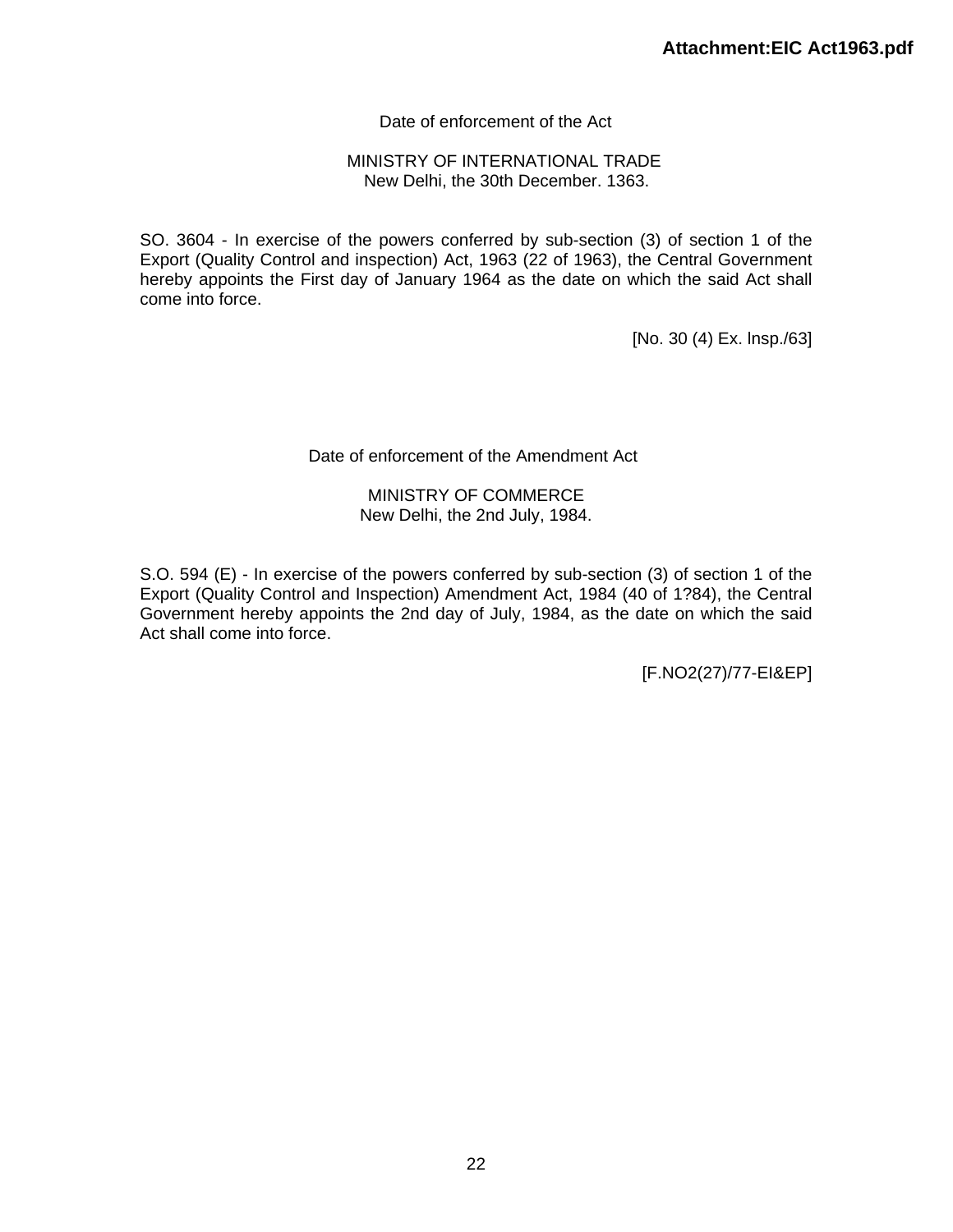# Date of enforcement of the Act

#### MINISTRY OF INTERNATIONAL TRADE New Delhi, the 30th December. 1363.

SO. 3604 - In exercise of the powers conferred by sub-section (3) of section 1 of the Export (Quality Control and inspection) Act, 1963 (22 of 1963), the Central Government hereby appoints the First day of January 1964 as the date on which the said Act shall come into force.

[No. 30 (4) Ex. lnsp./63]

#### Date of enforcement of the Amendment Act

#### MINISTRY OF COMMERCE New Delhi, the 2nd July, 1984.

S.O. 594 (E) - In exercise of the powers conferred by sub-section (3) of section 1 of the Export (Quality Control and Inspection) Amendment Act, 1984 (40 of 1?84), the Central Government hereby appoints the 2nd day of July, 1984, as the date on which the said Act shall come into force.

[F.NO2(27)/77-EI&EP]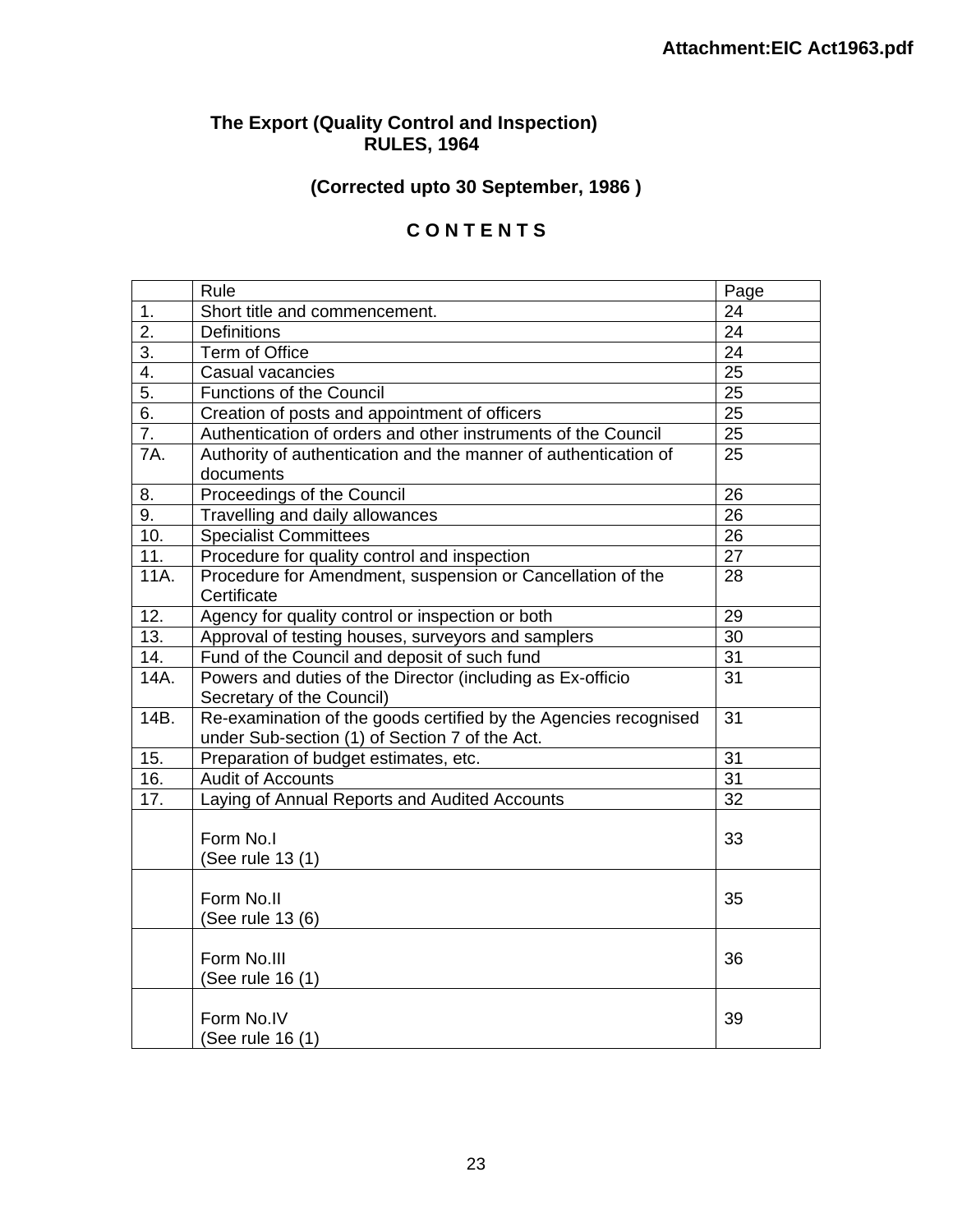# **The Export (Quality Control and Inspection) RULES, 1964**

# **(Corrected upto 30 September, 1986 )**

# **C O N T E N T S**

|                  | Rule                                                             | Page            |
|------------------|------------------------------------------------------------------|-----------------|
| 1.               | Short title and commencement.                                    | 24              |
| $\overline{2}$ . | <b>Definitions</b>                                               | 24              |
| $\overline{3}$ . | Term of Office                                                   | $\overline{24}$ |
| $\overline{4}$ . | Casual vacancies                                                 | $\overline{25}$ |
| $\overline{5}$ . | <b>Functions of the Council</b>                                  | $\overline{25}$ |
| 6.               | Creation of posts and appointment of officers                    | $\overline{25}$ |
| $\overline{7}$ . | Authentication of orders and other instruments of the Council    | 25              |
| <b>7A.</b>       | Authority of authentication and the manner of authentication of  | 25              |
|                  | documents                                                        |                 |
| 8.               | Proceedings of the Council                                       | 26              |
| 9.               | Travelling and daily allowances                                  | 26              |
| 10.              | <b>Specialist Committees</b>                                     | 26              |
| 11.              | Procedure for quality control and inspection                     | $\overline{27}$ |
| 11A.             | Procedure for Amendment, suspension or Cancellation of the       | 28              |
|                  | Certificate                                                      |                 |
| 12.              | Agency for quality control or inspection or both                 | 29              |
| 13.              | Approval of testing houses, surveyors and samplers               | 30              |
| 14.              | Fund of the Council and deposit of such fund                     | 31              |
| 14A.             | Powers and duties of the Director (including as Ex-officio       | 31              |
|                  | Secretary of the Council)                                        |                 |
| 14B.             | Re-examination of the goods certified by the Agencies recognised |                 |
|                  | under Sub-section (1) of Section 7 of the Act.                   |                 |
| 15.              | Preparation of budget estimates, etc.                            | $\overline{31}$ |
| 16.              | <b>Audit of Accounts</b>                                         | $\overline{31}$ |
| 17.              | Laying of Annual Reports and Audited Accounts                    | 32              |
|                  |                                                                  |                 |
|                  | Form No.I                                                        | 33              |
|                  | (See rule 13 (1)                                                 |                 |
|                  |                                                                  |                 |
|                  | Form No.II                                                       | 35              |
|                  | (See rule 13 (6)                                                 |                 |
|                  |                                                                  |                 |
|                  | Form No.III                                                      | 36              |
|                  | (See rule 16 (1)                                                 |                 |
|                  |                                                                  |                 |
|                  | Form No.IV                                                       | 39              |
|                  | (See rule 16 (1)                                                 |                 |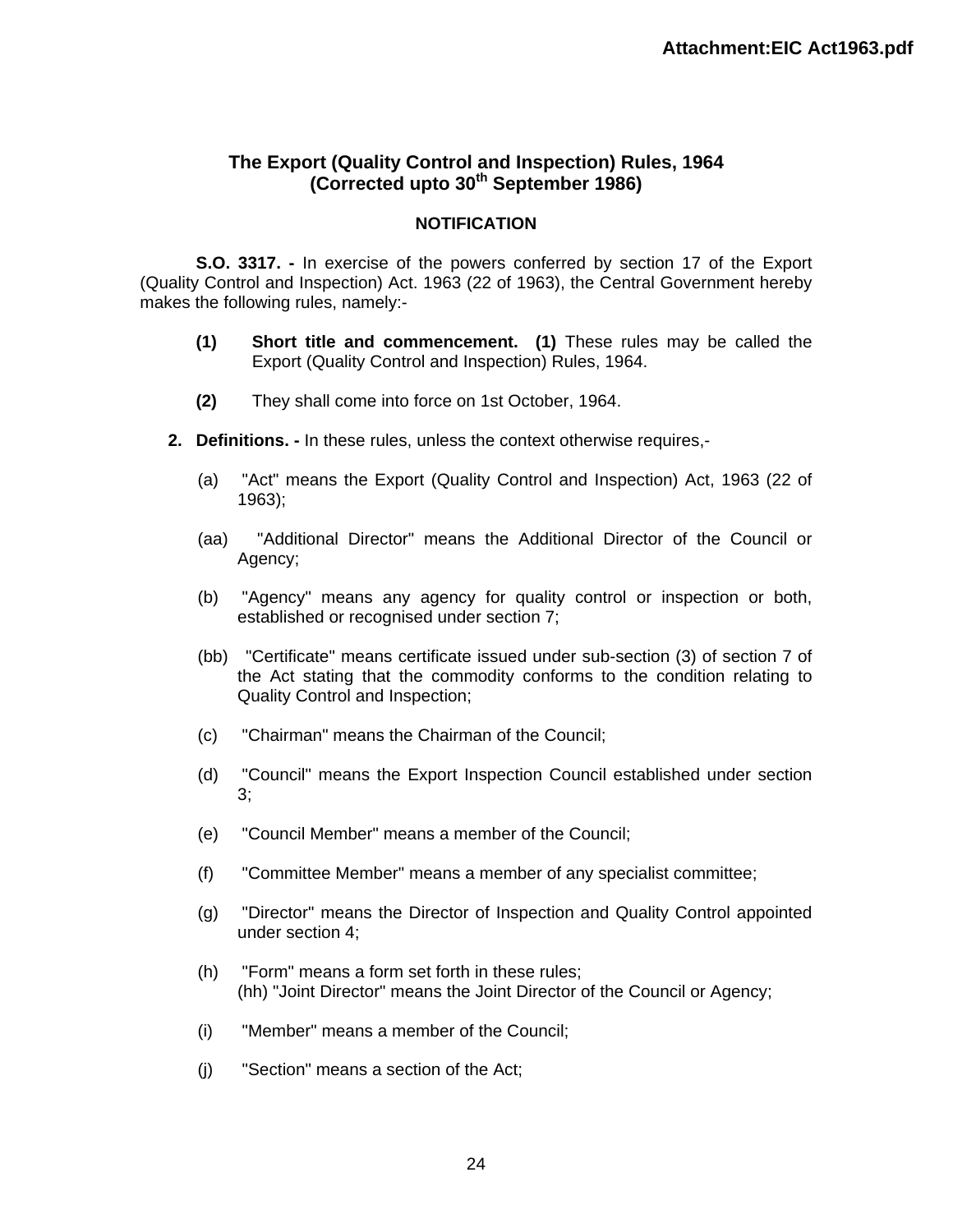# **The Export (Quality Control and Inspection) Rules, 1964 (Corrected upto 30th September 1986)**

### **NOTIFICATION**

**S.O. 3317. -** In exercise of the powers conferred by section 17 of the Export (Quality Control and Inspection) Act. 1963 (22 of 1963), the Central Government hereby makes the following rules, namely:-

- **(1) Short title and commencement. (1)** These rules may be called the Export (Quality Control and Inspection) Rules, 1964.
- **(2)** They shall come into force on 1st October, 1964.
- **2. Definitions. -** In these rules, unless the context otherwise requires,-
	- (a) "Act" means the Export (Quality Control and Inspection) Act, 1963 (22 of 1963);
	- (aa) "Additional Director" means the Additional Director of the Council or Agency;
	- (b) "Agency" means any agency for quality control or inspection or both, established or recognised under section 7;
	- (bb) "Certificate" means certificate issued under sub-section (3) of section 7 of the Act stating that the commodity conforms to the condition relating to Quality Control and Inspection;
	- (c) "Chairman" means the Chairman of the Council;
	- (d) "Council" means the Export Inspection Council established under section 3;
	- (e) "Council Member" means a member of the Council;
	- (f) "Committee Member" means a member of any specialist committee;
	- (g) "Director" means the Director of Inspection and Quality Control appointed under section 4;
	- (h) "Form" means a form set forth in these rules; (hh) "Joint Director" means the Joint Director of the Council or Agency;
	- (i) "Member" means a member of the Council;
	- (j) "Section" means a section of the Act;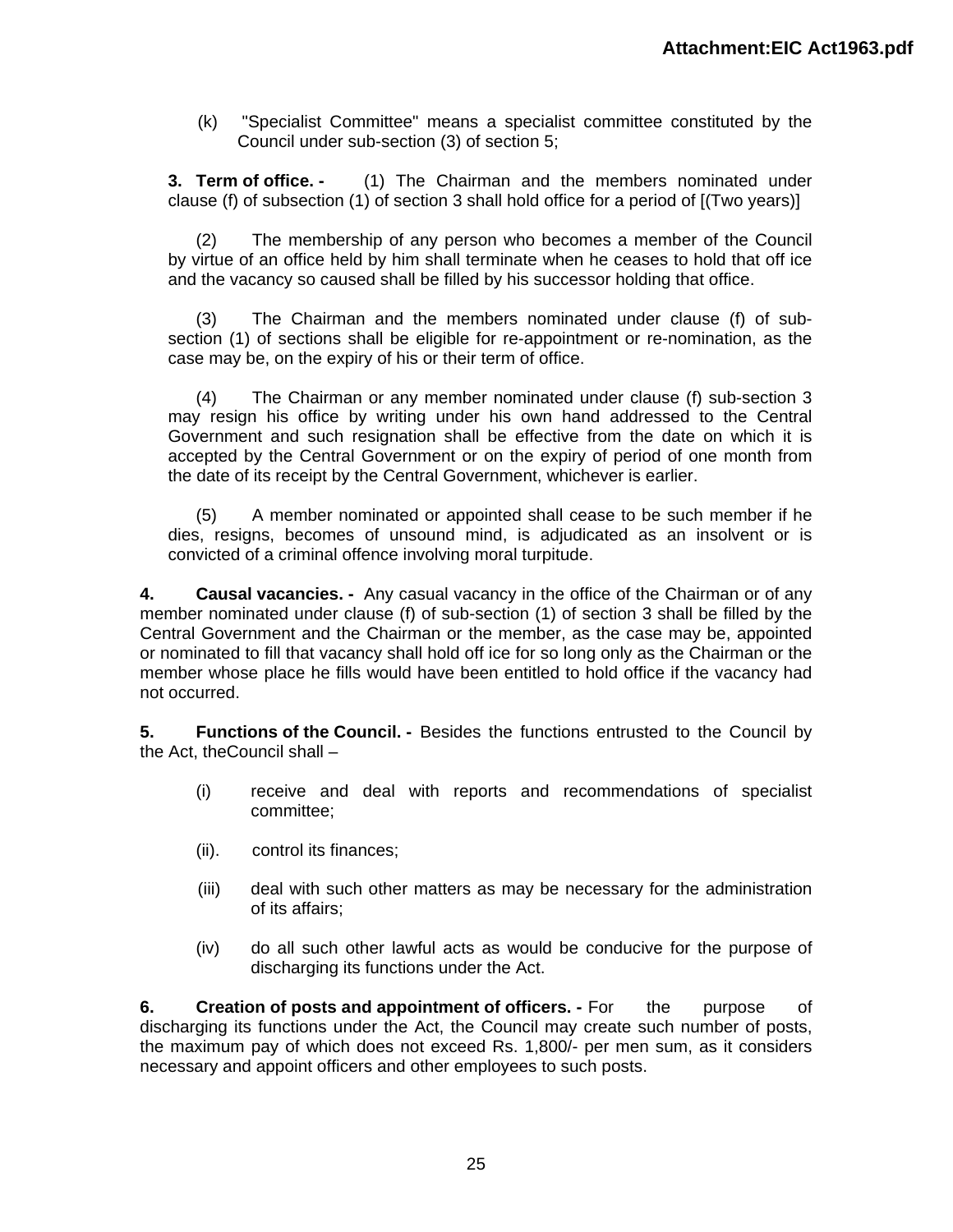(k) "Specialist Committee" means a specialist committee constituted by the Council under sub-section (3) of section 5;

**3. Term of office. -** (1) The Chairman and the members nominated under clause (f) of subsection (1) of section 3 shall hold office for a period of [(Two years)]

(2) The membership of any person who becomes a member of the Council by virtue of an office held by him shall terminate when he ceases to hold that off ice and the vacancy so caused shall be filled by his successor holding that office.

(3) The Chairman and the members nominated under clause (f) of subsection (1) of sections shall be eligible for re-appointment or re-nomination, as the case may be, on the expiry of his or their term of office.

(4) The Chairman or any member nominated under clause (f) sub-section 3 may resign his office by writing under his own hand addressed to the Central Government and such resignation shall be effective from the date on which it is accepted by the Central Government or on the expiry of period of one month from the date of its receipt by the Central Government, whichever is earlier.

(5) A member nominated or appointed shall cease to be such member if he dies, resigns, becomes of unsound mind, is adjudicated as an insolvent or is convicted of a criminal offence involving moral turpitude.

**4. Causal vacancies. -** Any casual vacancy in the office of the Chairman or of any member nominated under clause (f) of sub-section (1) of section 3 shall be filled by the Central Government and the Chairman or the member, as the case may be, appointed or nominated to fill that vacancy shall hold off ice for so long only as the Chairman or the member whose place he fills would have been entitled to hold office if the vacancy had not occurred.

**5. Functions of the Council. -** Besides the functions entrusted to the Council by the Act, theCouncil shall –

- (i) receive and deal with reports and recommendations of specialist committee;
- (ii). control its finances;
- (iii) deal with such other matters as may be necessary for the administration of its affairs;
- (iv) do all such other lawful acts as would be conducive for the purpose of discharging its functions under the Act.

**6. Creation of posts and appointment of officers. -** For the purpose of discharging its functions under the Act, the Council may create such number of posts, the maximum pay of which does not exceed Rs. 1,800/- per men sum, as it considers necessary and appoint officers and other employees to such posts.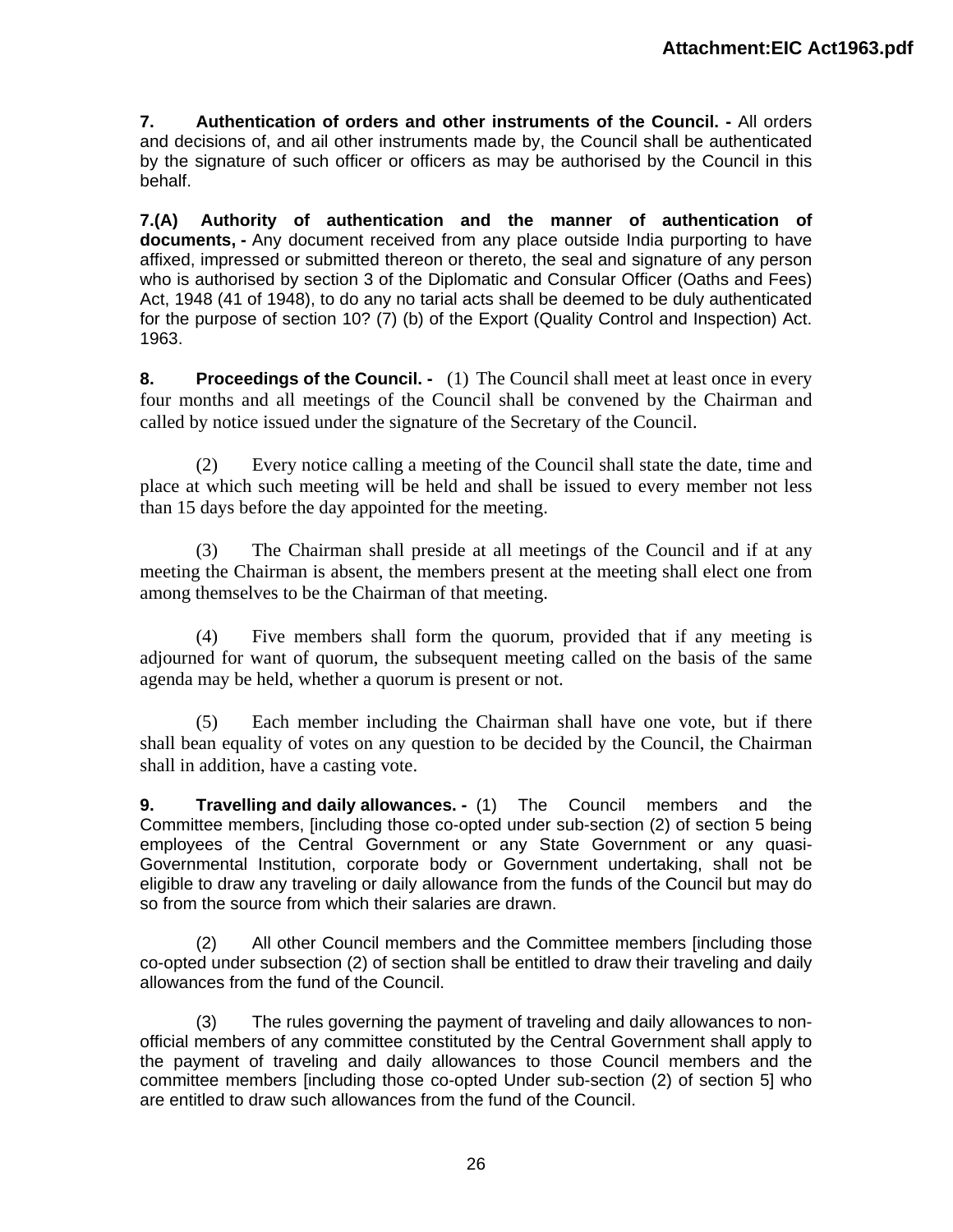**7. Authentication of orders and other instruments of the Council. -** All orders and decisions of, and ail other instruments made by, the Council shall be authenticated by the signature of such officer or officers as may be authorised by the Council in this behalf.

**7.(A) Authority of authentication and the manner of authentication of documents, -** Any document received from any place outside India purporting to have affixed, impressed or submitted thereon or thereto, the seal and signature of any person who is authorised by section 3 of the Diplomatic and Consular Officer (Oaths and Fees) Act, 1948 (41 of 1948), to do any no tarial acts shall be deemed to be duly authenticated for the purpose of section 10? (7) (b) of the Export (Quality Control and Inspection) Act. 1963.

**8.** Proceedings of the Council. - (1) The Council shall meet at least once in every four months and all meetings of the Council shall be convened by the Chairman and called by notice issued under the signature of the Secretary of the Council.

(2) Every notice calling a meeting of the Council shall state the date, time and place at which such meeting will be held and shall be issued to every member not less than 15 days before the day appointed for the meeting.

(3) The Chairman shall preside at all meetings of the Council and if at any meeting the Chairman is absent, the members present at the meeting shall elect one from among themselves to be the Chairman of that meeting.

(4) Five members shall form the quorum, provided that if any meeting is adjourned for want of quorum, the subsequent meeting called on the basis of the same agenda may be held, whether a quorum is present or not.

(5) Each member including the Chairman shall have one vote, but if there shall bean equality of votes on any question to be decided by the Council, the Chairman shall in addition, have a casting vote.

**9. Travelling and daily allowances. -** (1) The Council members and the Committee members, [including those co-opted under sub-section (2) of section 5 being employees of the Central Government or any State Government or any quasi-Governmental Institution, corporate body or Government undertaking, shall not be eligible to draw any traveling or daily allowance from the funds of the Council but may do so from the source from which their salaries are drawn.

(2) All other Council members and the Committee members [including those co-opted under subsection (2) of section shall be entitled to draw their traveling and daily allowances from the fund of the Council.

(3) The rules governing the payment of traveling and daily allowances to nonofficial members of any committee constituted by the Central Government shall apply to the payment of traveling and daily allowances to those Council members and the committee members [including those co-opted Under sub-section (2) of section 5] who are entitled to draw such allowances from the fund of the Council.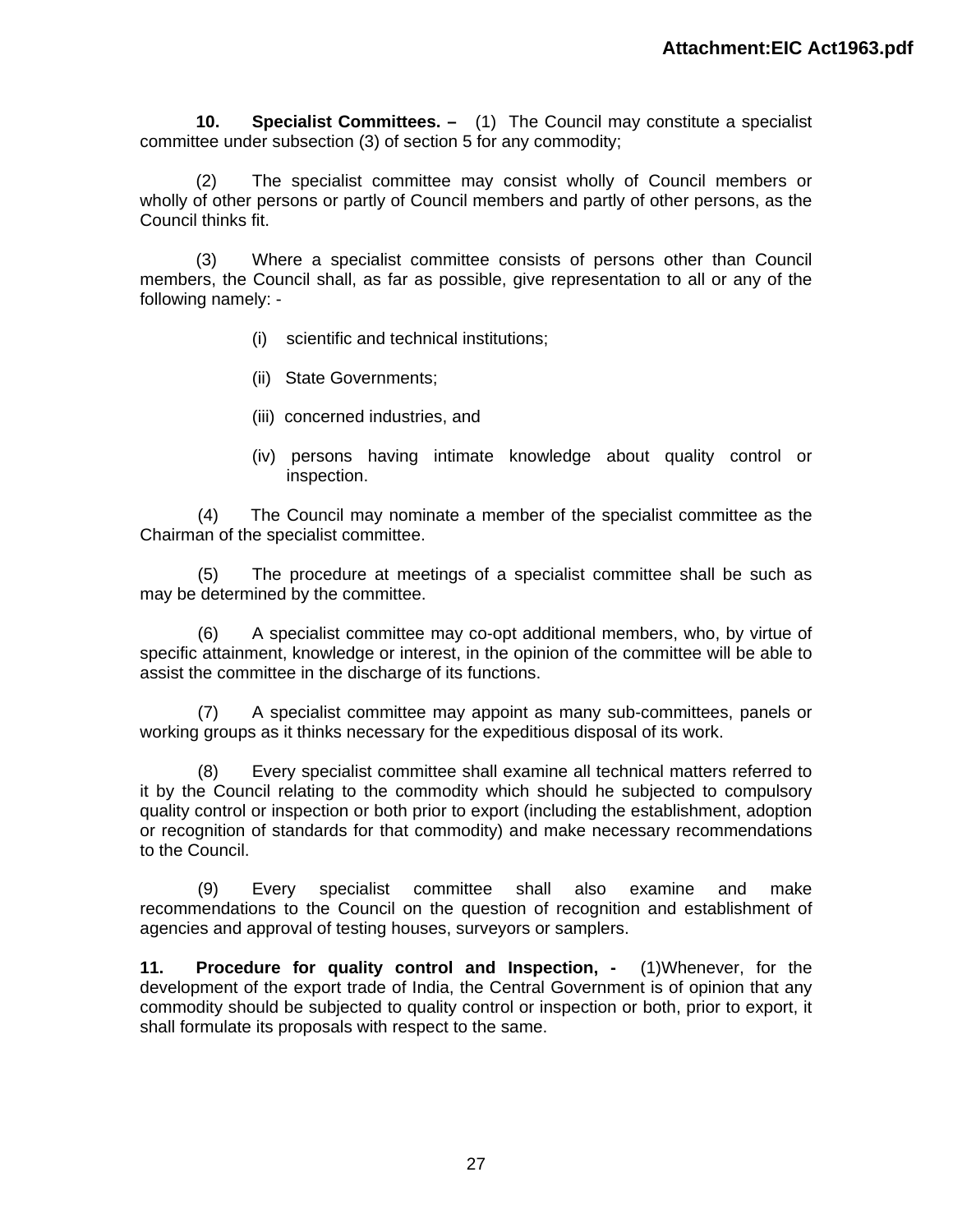**10. Specialist Committees. –** (1) The Council may constitute a specialist committee under subsection (3) of section 5 for any commodity;

(2) The specialist committee may consist wholly of Council members or wholly of other persons or partly of Council members and partly of other persons, as the Council thinks fit.

(3) Where a specialist committee consists of persons other than Council members, the Council shall, as far as possible, give representation to all or any of the following namely: -

- (i) scientific and technical institutions;
- (ii) State Governments;
- (iii) concerned industries, and
- (iv) persons having intimate knowledge about quality control or inspection.

(4) The Council may nominate a member of the specialist committee as the Chairman of the specialist committee.

(5) The procedure at meetings of a specialist committee shall be such as may be determined by the committee.

(6) A specialist committee may co-opt additional members, who, by virtue of specific attainment, knowledge or interest, in the opinion of the committee will be able to assist the committee in the discharge of its functions.

(7) A specialist committee may appoint as many sub-committees, panels or working groups as it thinks necessary for the expeditious disposal of its work.

(8) Every specialist committee shall examine all technical matters referred to it by the Council relating to the commodity which should he subjected to compulsory quality control or inspection or both prior to export (including the establishment, adoption or recognition of standards for that commodity) and make necessary recommendations to the Council.

(9) Every specialist committee shall also examine and make recommendations to the Council on the question of recognition and establishment of agencies and approval of testing houses, surveyors or samplers.

**11. Procedure for quality control and Inspection, -** (1)Whenever, for the development of the export trade of India, the Central Government is of opinion that any commodity should be subjected to quality control or inspection or both, prior to export, it shall formulate its proposals with respect to the same.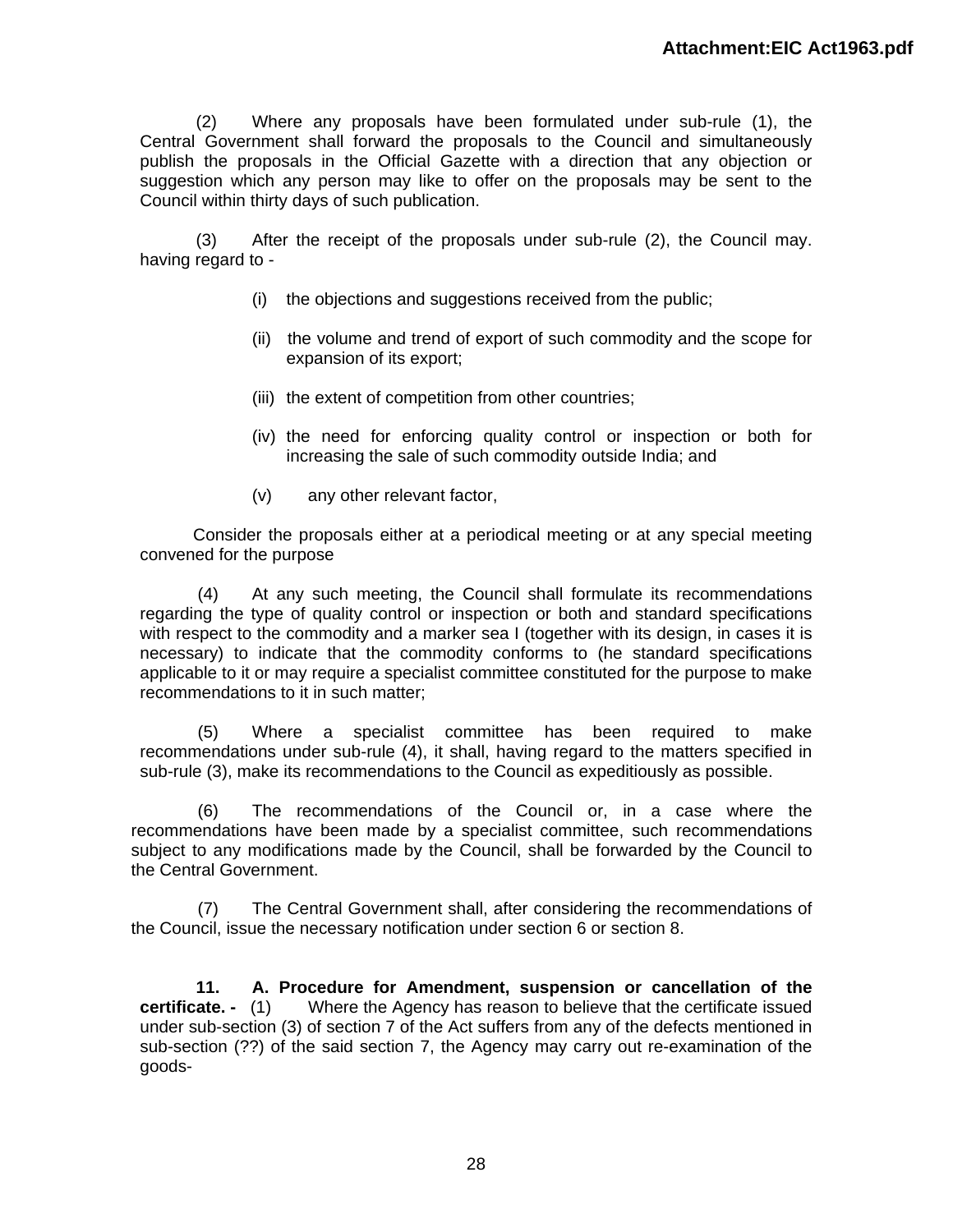(2) Where any proposals have been formulated under sub-rule (1), the Central Government shall forward the proposals to the Council and simultaneously publish the proposals in the Official Gazette with a direction that any objection or suggestion which any person may like to offer on the proposals may be sent to the Council within thirty days of such publication.

(3) After the receipt of the proposals under sub-rule (2), the Council may. having regard to -

- (i) the objections and suggestions received from the public;
- (ii) the volume and trend of export of such commodity and the scope for expansion of its export;
- (iii) the extent of competition from other countries;
- (iv) the need for enforcing quality control or inspection or both for increasing the sale of such commodity outside India; and
- (v) any other relevant factor,

Consider the proposals either at a periodical meeting or at any special meeting convened for the purpose

(4) At any such meeting, the Council shall formulate its recommendations regarding the type of quality control or inspection or both and standard specifications with respect to the commodity and a marker sea I (together with its design, in cases it is necessary) to indicate that the commodity conforms to (he standard specifications applicable to it or may require a specialist committee constituted for the purpose to make recommendations to it in such matter;

(5) Where a specialist committee has been required to make recommendations under sub-rule (4), it shall, having regard to the matters specified in sub-rule (3), make its recommendations to the Council as expeditiously as possible.

(6) The recommendations of the Council or, in a case where the recommendations have been made by a specialist committee, such recommendations subject to any modifications made by the Council, shall be forwarded by the Council to the Central Government.

(7) The Central Government shall, after considering the recommendations of the Council, issue the necessary notification under section 6 or section 8.

**11. A. Procedure for Amendment, suspension or cancellation of the certificate. -** (1) Where the Agency has reason to believe that the certificate issued under sub-section (3) of section 7 of the Act suffers from any of the defects mentioned in sub-section (??) of the said section 7, the Agency may carry out re-examination of the goods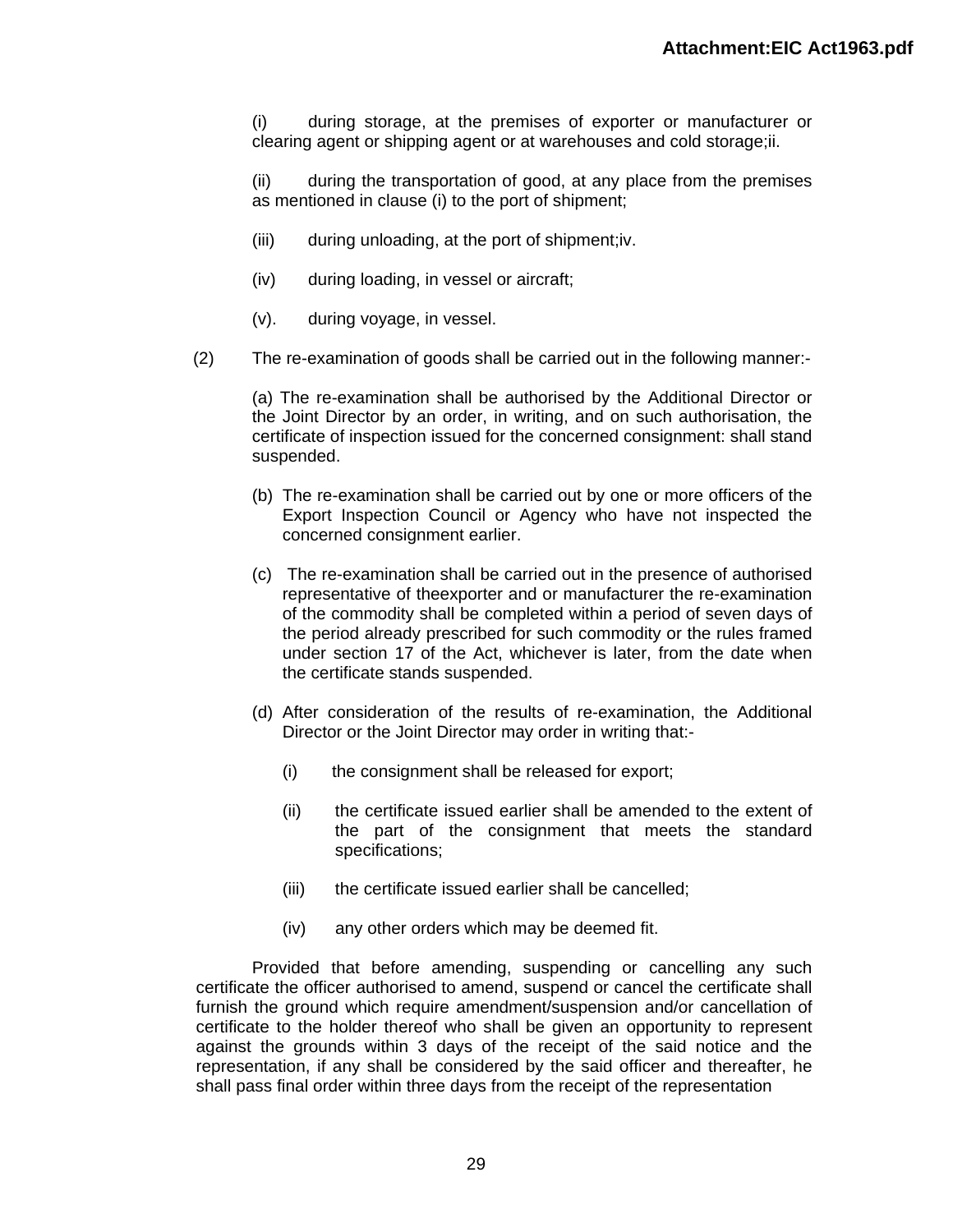(i) during storage, at the premises of exporter or manufacturer or clearing agent or shipping agent or at warehouses and cold storage;ii.

(ii) during the transportation of good, at any place from the premises as mentioned in clause (i) to the port of shipment;

- (iii) during unloading, at the port of shipment;iv.
- (iv) during loading, in vessel or aircraft;
- (v). during voyage, in vessel.
- (2) The re-examination of goods shall be carried out in the following manner:-

(a) The re-examination shall be authorised by the Additional Director or the Joint Director by an order, in writing, and on such authorisation, the certificate of inspection issued for the concerned consignment: shall stand suspended.

- (b) The re-examination shall be carried out by one or more officers of the Export Inspection Council or Agency who have not inspected the concerned consignment earlier.
- (c) The re-examination shall be carried out in the presence of authorised representative of theexporter and or manufacturer the re-examination of the commodity shall be completed within a period of seven days of the period already prescribed for such commodity or the rules framed under section 17 of the Act, whichever is later, from the date when the certificate stands suspended.
- (d) After consideration of the results of re-examination, the Additional Director or the Joint Director may order in writing that:-
	- (i) the consignment shall be released for export;
	- (ii) the certificate issued earlier shall be amended to the extent of the part of the consignment that meets the standard specifications;
	- (iii) the certificate issued earlier shall be cancelled;
	- (iv) any other orders which may be deemed fit.

Provided that before amending, suspending or cancelling any such certificate the officer authorised to amend, suspend or cancel the certificate shall furnish the ground which require amendment/suspension and/or cancellation of certificate to the holder thereof who shall be given an opportunity to represent against the grounds within 3 days of the receipt of the said notice and the representation, if any shall be considered by the said officer and thereafter, he shall pass final order within three days from the receipt of the representation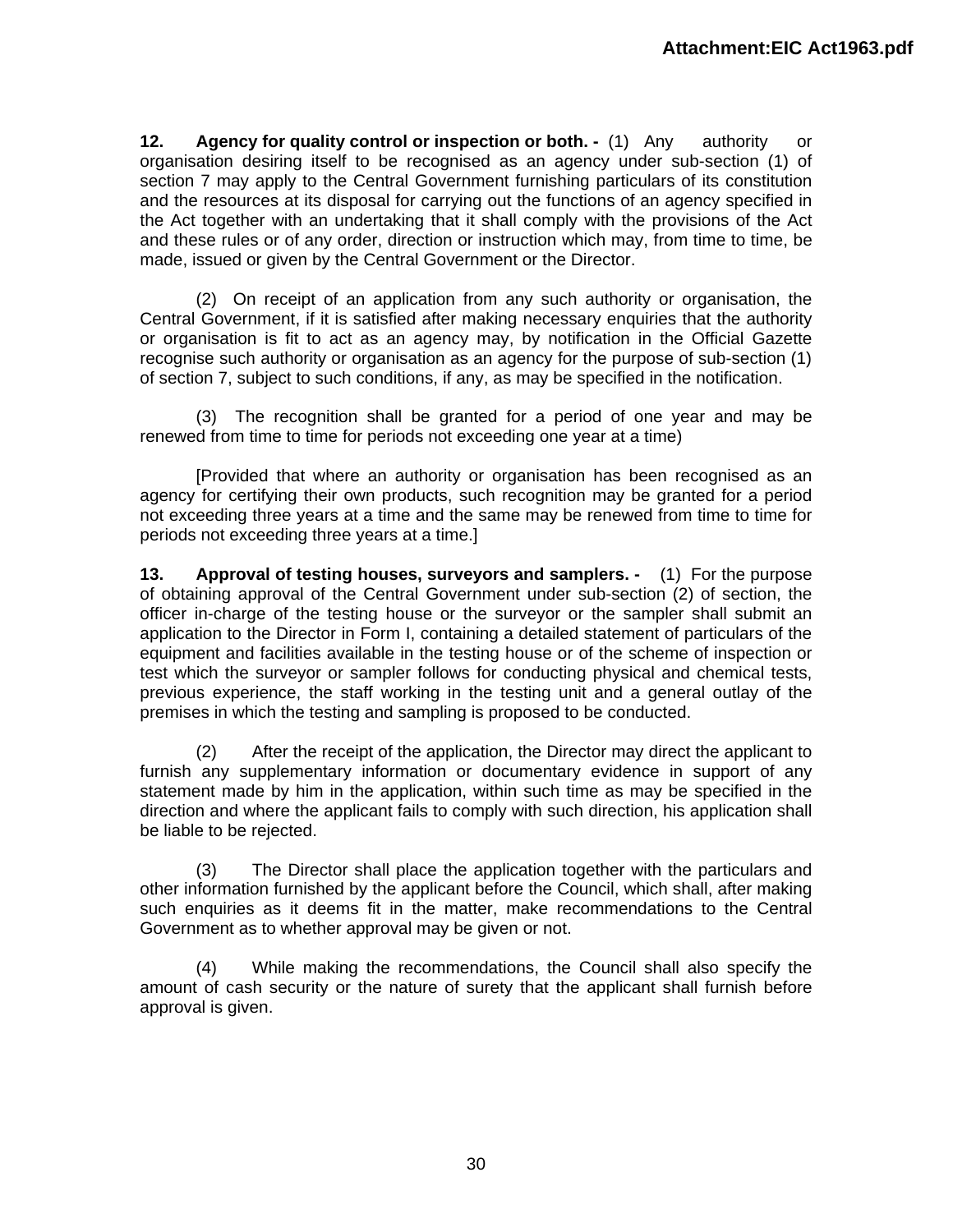**12. Agency for quality control or inspection or both. -** (1) Any authority or organisation desiring itself to be recognised as an agency under sub-section (1) of section 7 may apply to the Central Government furnishing particulars of its constitution and the resources at its disposal for carrying out the functions of an agency specified in the Act together with an undertaking that it shall comply with the provisions of the Act and these rules or of any order, direction or instruction which may, from time to time, be made, issued or given by the Central Government or the Director.

(2) On receipt of an application from any such authority or organisation, the Central Government, if it is satisfied after making necessary enquiries that the authority or organisation is fit to act as an agency may, by notification in the Official Gazette recognise such authority or organisation as an agency for the purpose of sub-section (1) of section 7, subject to such conditions, if any, as may be specified in the notification.

(3) The recognition shall be granted for a period of one year and may be renewed from time to time for periods not exceeding one year at a time)

[Provided that where an authority or organisation has been recognised as an agency for certifying their own products, such recognition may be granted for a period not exceeding three years at a time and the same may be renewed from time to time for periods not exceeding three years at a time.]

**13. Approval of testing houses, surveyors and samplers. -** (1) For the purpose of obtaining approval of the Central Government under sub-section (2) of section, the officer in-charge of the testing house or the surveyor or the sampler shall submit an application to the Director in Form I, containing a detailed statement of particulars of the equipment and facilities available in the testing house or of the scheme of inspection or test which the surveyor or sampler follows for conducting physical and chemical tests, previous experience, the staff working in the testing unit and a general outlay of the premises in which the testing and sampling is proposed to be conducted.

(2) After the receipt of the application, the Director may direct the applicant to furnish any supplementary information or documentary evidence in support of any statement made by him in the application, within such time as may be specified in the direction and where the applicant fails to comply with such direction, his application shall be liable to be rejected.

(3) The Director shall place the application together with the particulars and other information furnished by the applicant before the Council, which shall, after making such enquiries as it deems fit in the matter, make recommendations to the Central Government as to whether approval may be given or not.

(4) While making the recommendations, the Council shall also specify the amount of cash security or the nature of surety that the applicant shall furnish before approval is given.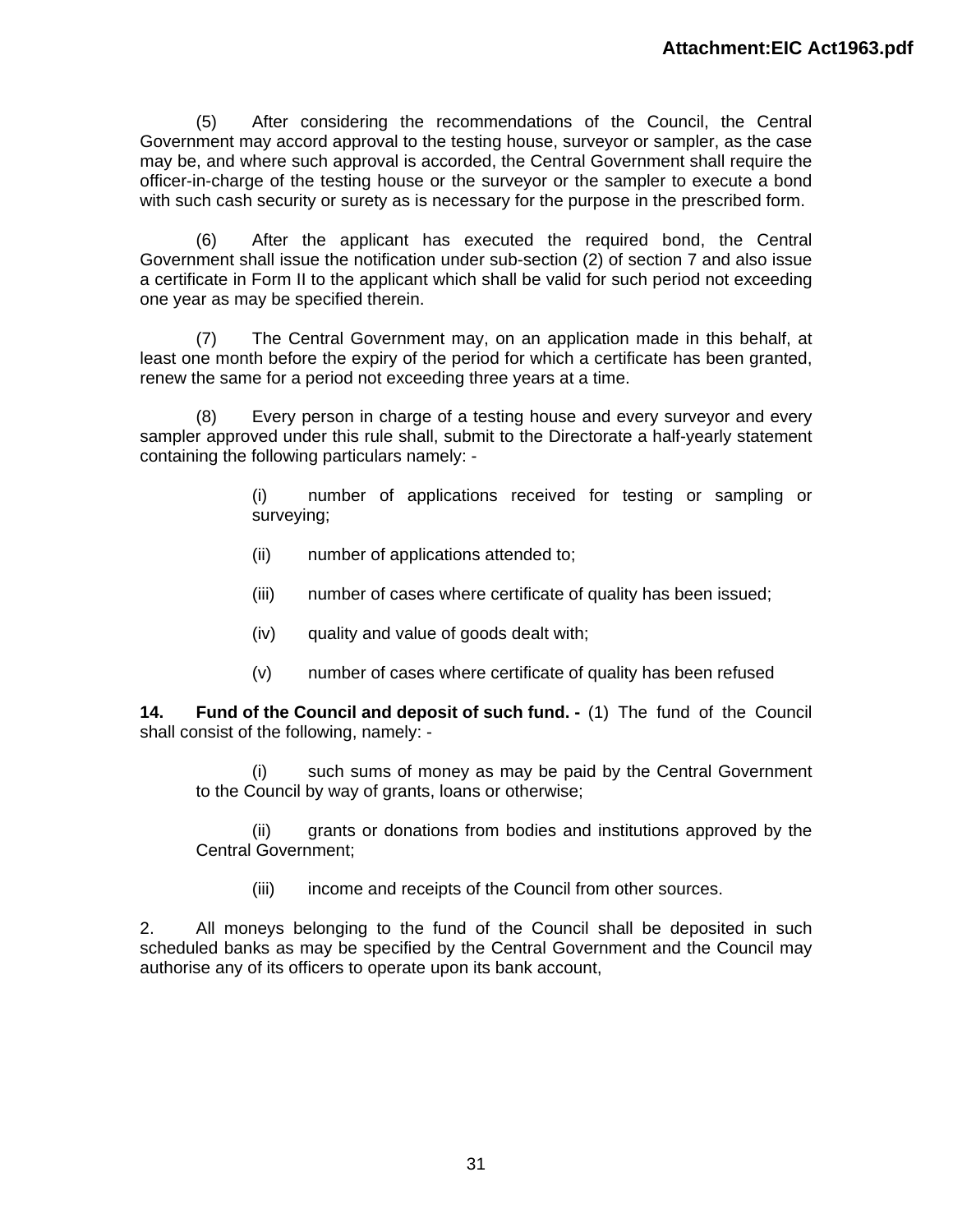(5) After considering the recommendations of the Council, the Central Government may accord approval to the testing house, surveyor or sampler, as the case may be, and where such approval is accorded, the Central Government shall require the officer-in-charge of the testing house or the surveyor or the sampler to execute a bond with such cash security or surety as is necessary for the purpose in the prescribed form.

(6) After the applicant has executed the required bond, the Central Government shall issue the notification under sub-section (2) of section 7 and also issue a certificate in Form II to the applicant which shall be valid for such period not exceeding one year as may be specified therein.

(7) The Central Government may, on an application made in this behalf, at least one month before the expiry of the period for which a certificate has been granted, renew the same for a period not exceeding three years at a time.

(8) Every person in charge of a testing house and every surveyor and every sampler approved under this rule shall, submit to the Directorate a half-yearly statement containing the following particulars namely: -

> (i) number of applications received for testing or sampling or surveying;

- (ii) number of applications attended to;
- (iii) number of cases where certificate of quality has been issued;
- (iv) quality and value of goods dealt with;
- (v) number of cases where certificate of quality has been refused

**14. Fund of the Council and deposit of such fund. -** (1) The fund of the Council shall consist of the following, namely: -

(i) such sums of money as may be paid by the Central Government to the Council by way of grants, loans or otherwise;

(ii) grants or donations from bodies and institutions approved by the Central Government;

(iii) income and receipts of the Council from other sources.

2. All moneys belonging to the fund of the Council shall be deposited in such scheduled banks as may be specified by the Central Government and the Council may authorise any of its officers to operate upon its bank account,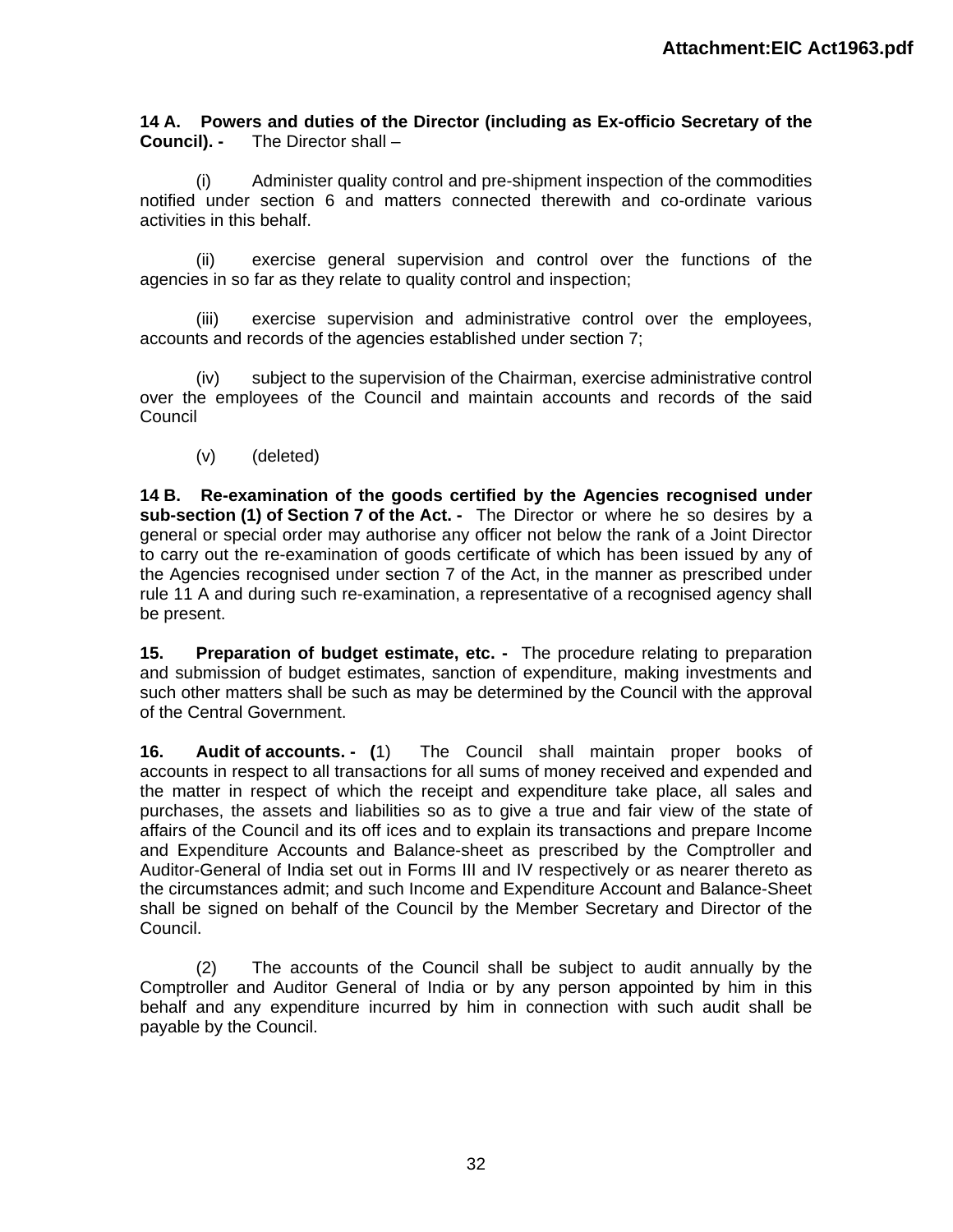**14 A. Powers and duties of the Director (including as Ex-officio Secretary of the Council). -** The Director shall –

(i) Administer quality control and pre-shipment inspection of the commodities notified under section 6 and matters connected therewith and co-ordinate various activities in this behalf.

(ii) exercise general supervision and control over the functions of the agencies in so far as they relate to quality control and inspection;

(iii) exercise supervision and administrative control over the employees, accounts and records of the agencies established under section 7;

(iv) subject to the supervision of the Chairman, exercise administrative control over the employees of the Council and maintain accounts and records of the said Council

(v) (deleted)

**14 B. Re-examination of the goods certified by the Agencies recognised under sub-section (1) of Section 7 of the Act. -** The Director or where he so desires by a general or special order may authorise any officer not below the rank of a Joint Director to carry out the re-examination of goods certificate of which has been issued by any of the Agencies recognised under section 7 of the Act, in the manner as prescribed under rule 11 A and during such re-examination, a representative of a recognised agency shall be present.

**15. Preparation of budget estimate, etc. -** The procedure relating to preparation and submission of budget estimates, sanction of expenditure, making investments and such other matters shall be such as may be determined by the Council with the approval of the Central Government.

**16. Audit of accounts. - (**1) The Council shall maintain proper books of accounts in respect to all transactions for all sums of money received and expended and the matter in respect of which the receipt and expenditure take place, all sales and purchases, the assets and liabilities so as to give a true and fair view of the state of affairs of the Council and its off ices and to explain its transactions and prepare Income and Expenditure Accounts and Balance-sheet as prescribed by the Comptroller and Auditor-General of India set out in Forms III and IV respectively or as nearer thereto as the circumstances admit; and such Income and Expenditure Account and Balance-Sheet shall be signed on behalf of the Council by the Member Secretary and Director of the Council.

(2) The accounts of the Council shall be subject to audit annually by the Comptroller and Auditor General of India or by any person appointed by him in this behalf and any expenditure incurred by him in connection with such audit shall be payable by the Council.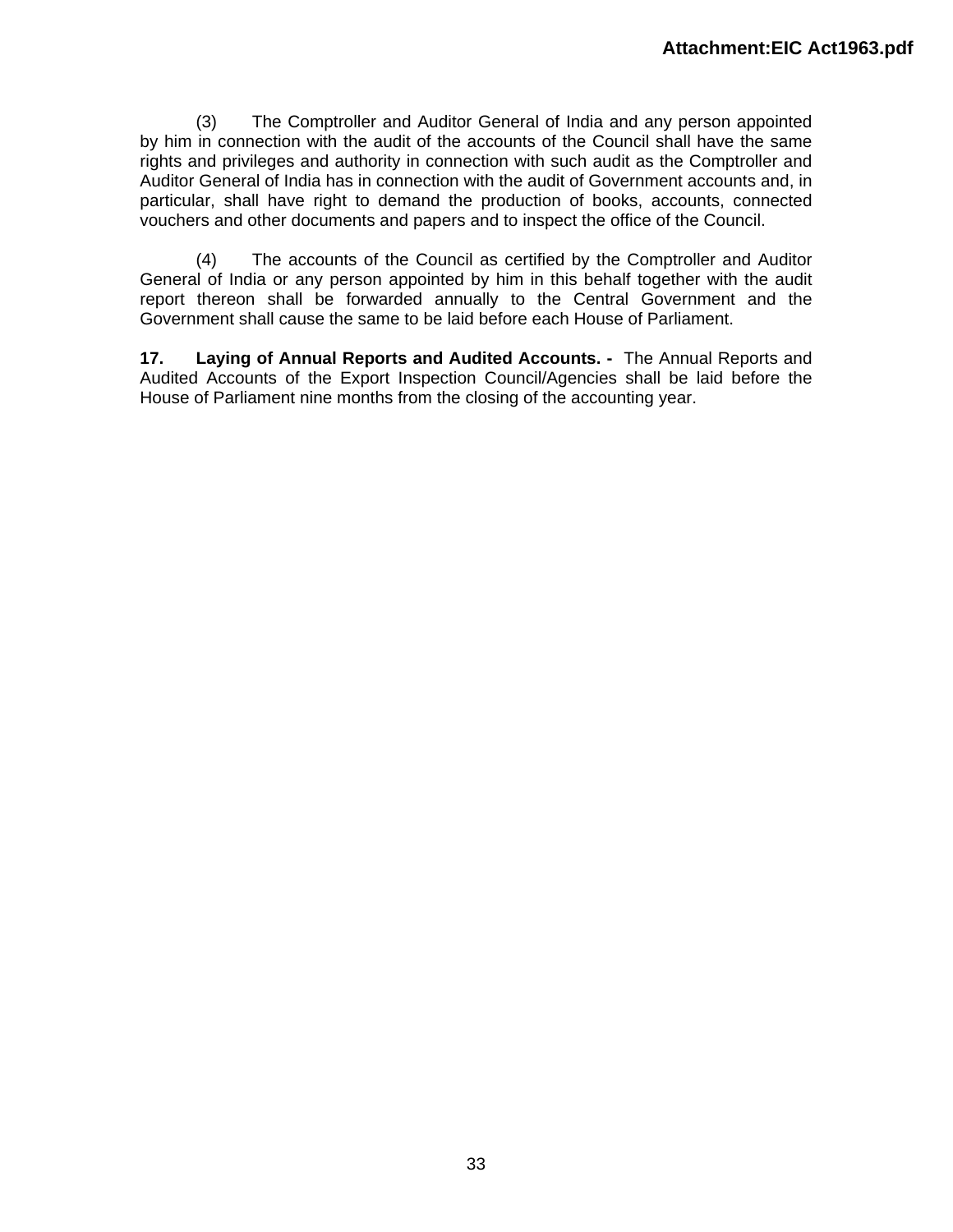(3) The Comptroller and Auditor General of India and any person appointed by him in connection with the audit of the accounts of the Council shall have the same rights and privileges and authority in connection with such audit as the Comptroller and Auditor General of India has in connection with the audit of Government accounts and, in particular, shall have right to demand the production of books, accounts, connected vouchers and other documents and papers and to inspect the office of the Council.

(4) The accounts of the Council as certified by the Comptroller and Auditor General of India or any person appointed by him in this behalf together with the audit report thereon shall be forwarded annually to the Central Government and the Government shall cause the same to be laid before each House of Parliament.

**17. Laying of Annual Reports and Audited Accounts. -** The Annual Reports and Audited Accounts of the Export Inspection Council/Agencies shall be laid before the House of Parliament nine months from the closing of the accounting year.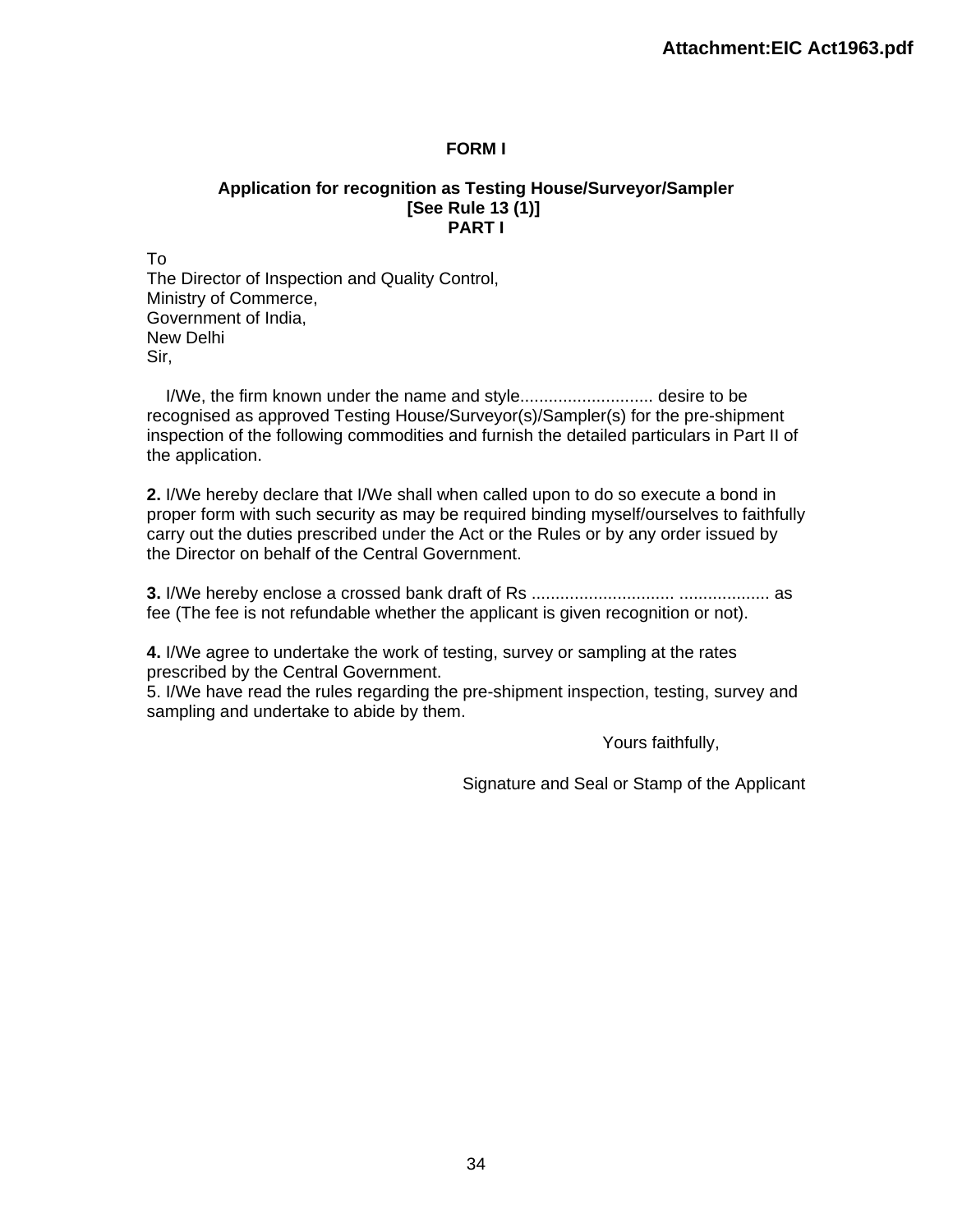### **FORM I**

#### **Application for recognition as Testing House/Surveyor/Sampler [See Rule 13 (1)] PART I**

To The Director of Inspection and Quality Control, Ministry of Commerce, Government of India, New Delhi Sir,

 I/We, the firm known under the name and style............................ desire to be recognised as approved Testing House/Surveyor(s)/Sampler(s) for the pre-shipment inspection of the following commodities and furnish the detailed particulars in Part II of the application.

**2.** I/We hereby declare that I/We shall when called upon to do so execute a bond in proper form with such security as may be required binding myself/ourselves to faithfully carry out the duties prescribed under the Act or the Rules or by any order issued by the Director on behalf of the Central Government.

**3.** I/We hereby enclose a crossed bank draft of Rs .............................. ................... as fee (The fee is not refundable whether the applicant is given recognition or not).

**4.** I/We agree to undertake the work of testing, survey or sampling at the rates prescribed by the Central Government.

5. I/We have read the rules regarding the pre-shipment inspection, testing, survey and sampling and undertake to abide by them.

Yours faithfully,

Signature and Seal or Stamp of the Applicant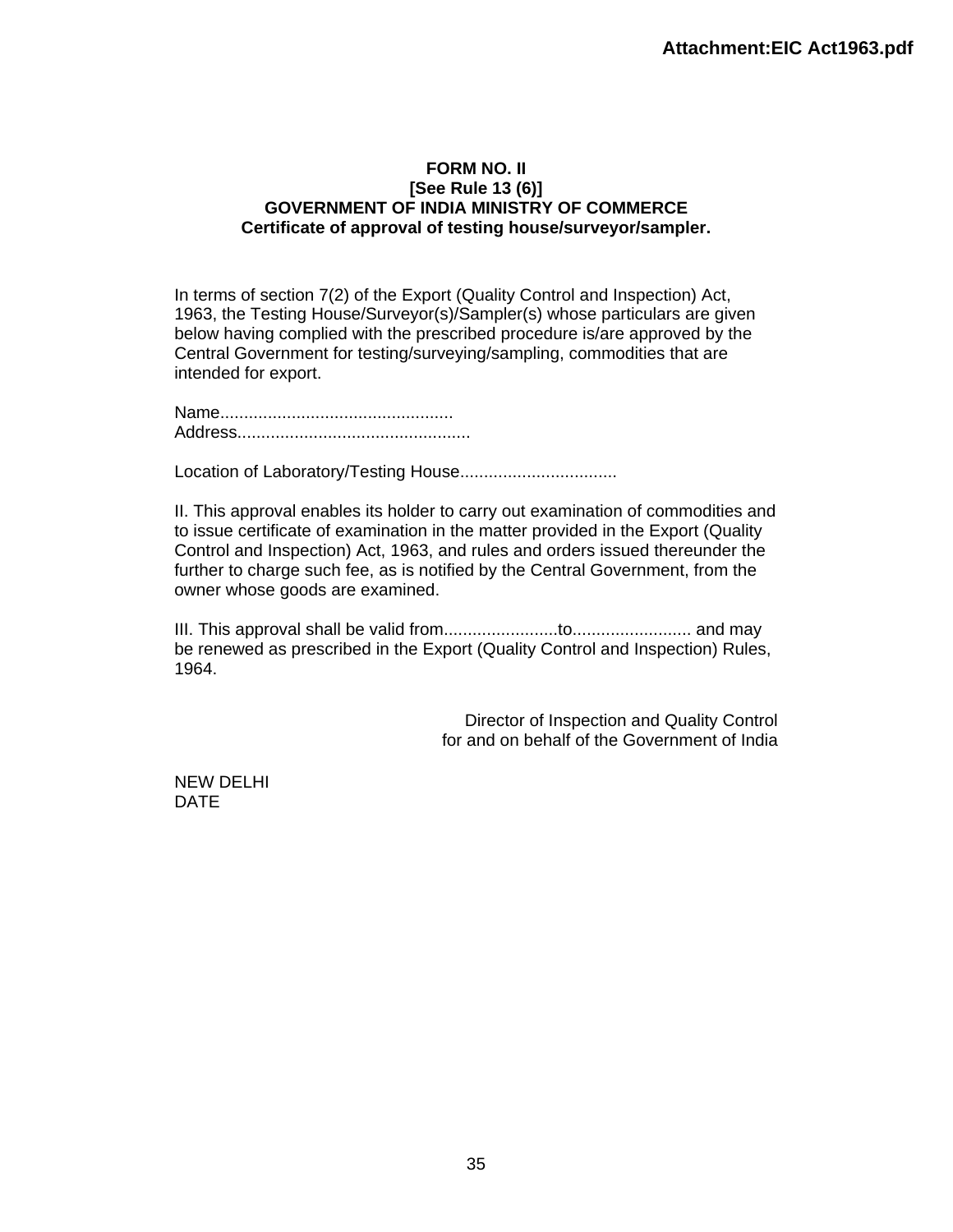#### **FORM NO. II [See Rule 13 (6)] GOVERNMENT OF INDIA MINISTRY OF COMMERCE Certificate of approval of testing house/surveyor/sampler.**

In terms of section 7(2) of the Export (Quality Control and Inspection) Act, 1963, the Testing House/Surveyor(s)/Sampler(s) whose particulars are given below having complied with the prescribed procedure is/are approved by the Central Government for testing/surveying/sampling, commodities that are intended for export.

Name................................................. Address.................................................

Location of Laboratory/Testing House.................................

II. This approval enables its holder to carry out examination of commodities and to issue certificate of examination in the matter provided in the Export (Quality Control and Inspection) Act, 1963, and rules and orders issued thereunder the further to charge such fee, as is notified by the Central Government, from the owner whose goods are examined.

III. This approval shall be valid from........................to......................... and may be renewed as prescribed in the Export (Quality Control and Inspection) Rules, 1964.

> Director of Inspection and Quality Control for and on behalf of the Government of India

NEW DELHI DATE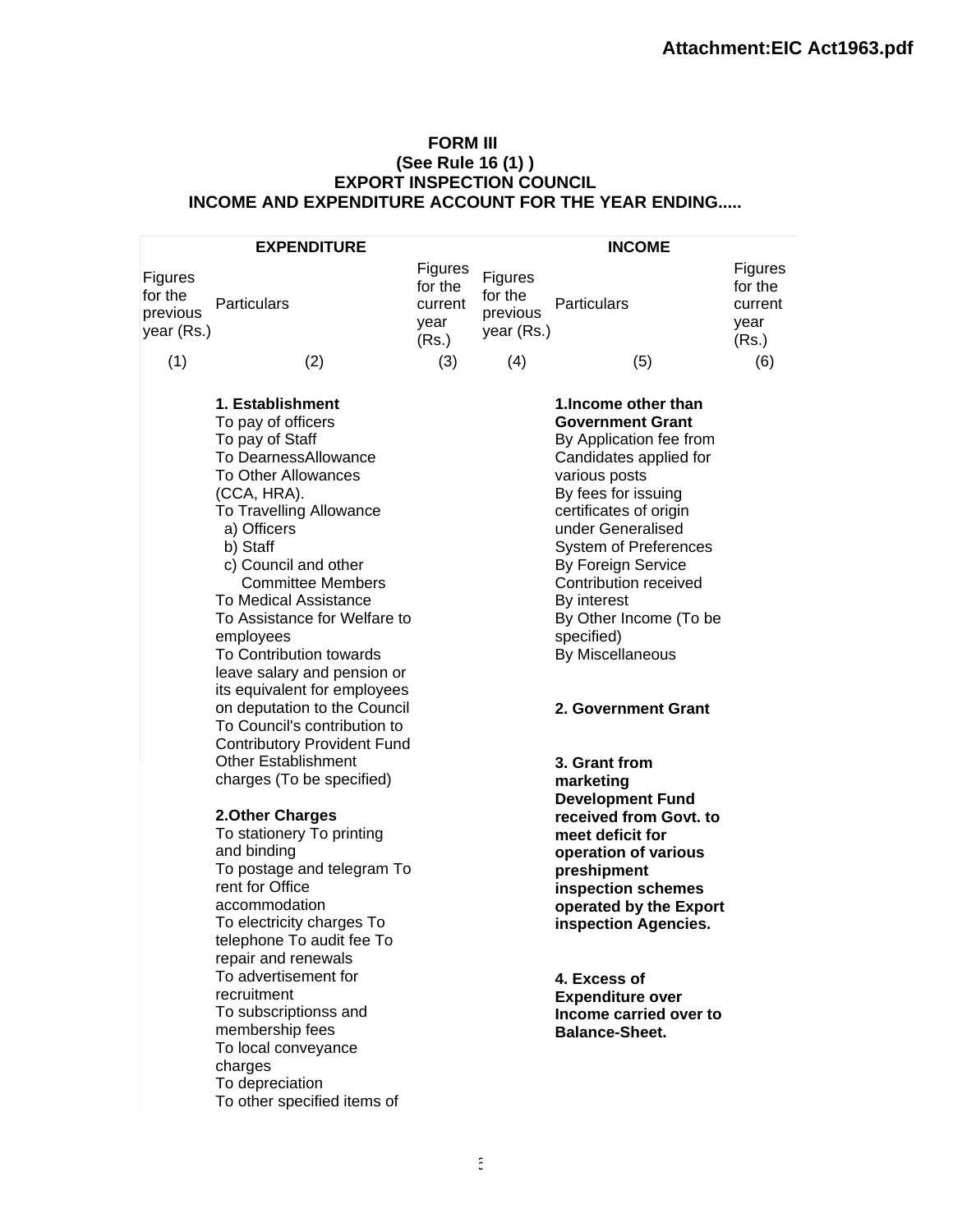### **FORM III (See Rule 16 (1) ) EXPORT INSPECTION COUNCIL INCOME AND EXPENDITURE ACCOUNT FOR THE YEAR ENDING.....**

|                                              | <b>EXPENDITURE</b>                                                                                                                                                                                                                                                                                                                                                                                                                                                                                                    |                                                |                                              | <b>INCOME</b>                                                                                                                                                                                                                                                                                                                                                                |                                                |
|----------------------------------------------|-----------------------------------------------------------------------------------------------------------------------------------------------------------------------------------------------------------------------------------------------------------------------------------------------------------------------------------------------------------------------------------------------------------------------------------------------------------------------------------------------------------------------|------------------------------------------------|----------------------------------------------|------------------------------------------------------------------------------------------------------------------------------------------------------------------------------------------------------------------------------------------------------------------------------------------------------------------------------------------------------------------------------|------------------------------------------------|
| Figures<br>for the<br>previous<br>year (Rs.) | Particulars                                                                                                                                                                                                                                                                                                                                                                                                                                                                                                           | Figures<br>for the<br>current<br>year<br>(Rs.) | Figures<br>for the<br>previous<br>year (Rs.) | Particulars                                                                                                                                                                                                                                                                                                                                                                  | Figures<br>for the<br>current<br>year<br>(Rs.) |
| (1)                                          | (2)                                                                                                                                                                                                                                                                                                                                                                                                                                                                                                                   | (3)                                            | (4)                                          | (5)                                                                                                                                                                                                                                                                                                                                                                          | (6)                                            |
|                                              | 1. Establishment<br>To pay of officers<br>To pay of Staff<br>To DearnessAllowance<br><b>To Other Allowances</b><br>(CCA, HRA).<br>To Travelling Allowance<br>a) Officers<br>b) Staff<br>c) Council and other<br><b>Committee Members</b><br><b>To Medical Assistance</b><br>To Assistance for Welfare to<br>employees<br>To Contribution towards<br>leave salary and pension or<br>its equivalent for employees<br>on deputation to the Council<br>To Council's contribution to<br><b>Contributory Provident Fund</b> |                                                |                                              | 1. Income other than<br><b>Government Grant</b><br>By Application fee from<br>Candidates applied for<br>various posts<br>By fees for issuing<br>certificates of origin<br>under Generalised<br><b>System of Preferences</b><br>By Foreign Service<br>Contribution received<br>By interest<br>By Other Income (To be<br>specified)<br>By Miscellaneous<br>2. Government Grant |                                                |
|                                              | <b>Other Establishment</b><br>charges (To be specified)<br>2. Other Charges<br>To stationery To printing<br>and binding<br>To postage and telegram To<br>rent for Office<br>accommodation<br>To electricity charges To<br>telephone To audit fee To<br>repair and renewals<br>To advertisement for<br>recruitment<br>To subscriptionss and<br>membership fees<br>To local conveyance<br>charges<br>To depreciation                                                                                                    |                                                |                                              | 3. Grant from<br>marketing<br><b>Development Fund</b><br>received from Govt. to<br>meet deficit for<br>operation of various<br>preshipment<br>inspection schemes<br>operated by the Export<br>inspection Agencies.<br>4. Excess of<br><b>Expenditure over</b><br>Income carried over to<br><b>Balance-Sheet.</b>                                                             |                                                |

To other specified items of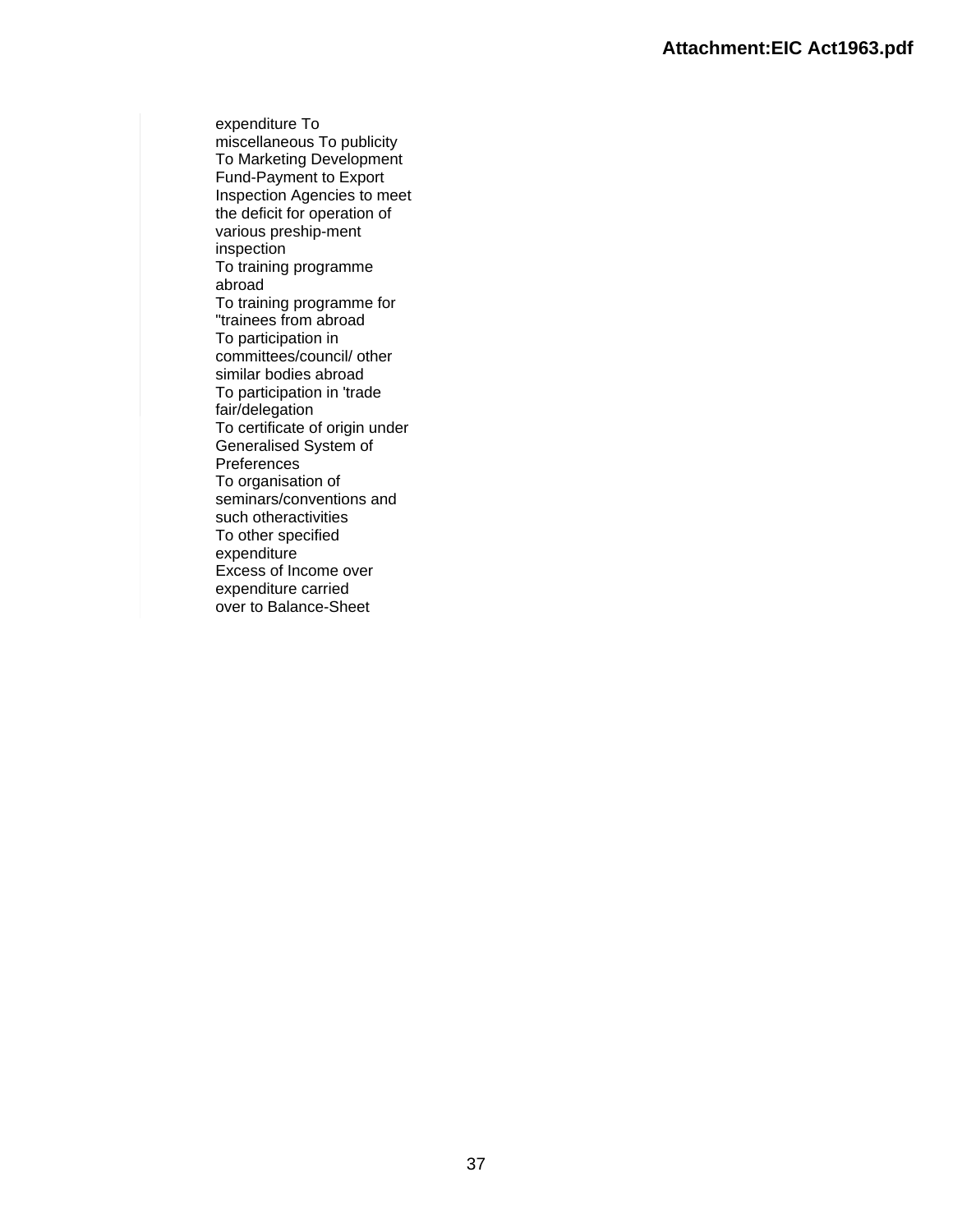expenditure To miscellaneous To publicity To Marketing Development Fund-Payment to Export Inspection Agencies to meet the deficit for operation of various preship-ment inspection To training programme abroad To training programme for "trainees from abroad To participation in committees/council/ other similar bodies abroad To participation in 'trade fair/delegation To certificate of origin under Generalised System of Preferences To organisation of seminars/conventions and such otheractivities To other specified expenditure Excess of Income over expenditure carried over to Balance-Sheet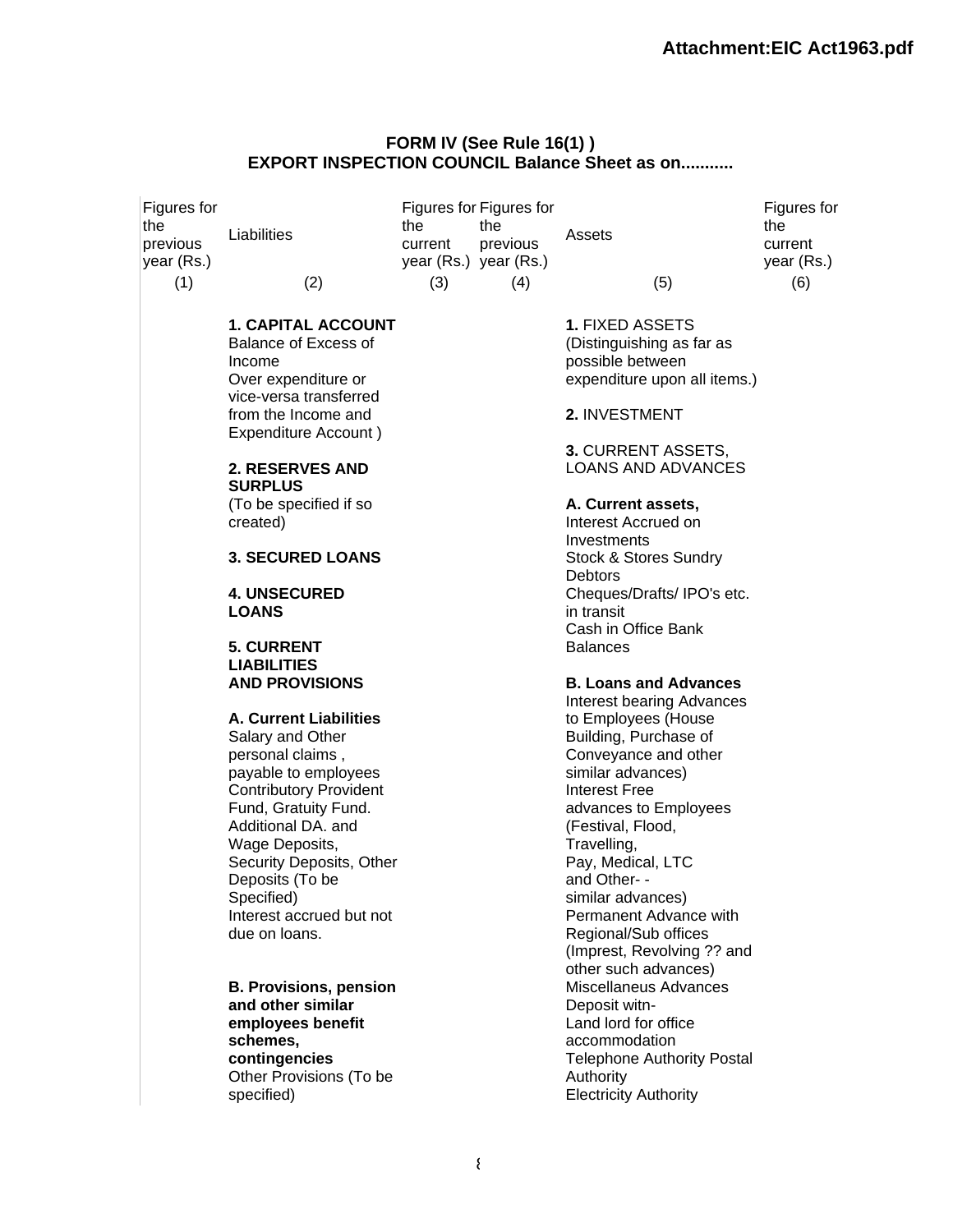#### **FORM IV (See Rule 16(1) ) EXPORT INSPECTION COUNCIL Balance Sheet as on...........**

| Figures for<br>the<br>previous<br>year (Rs.)<br>(1) | Liabilities<br>(2)                                                                 | the<br>current<br>(3) | Figures for Figures for<br>the<br>previous<br>year (Rs.) year (Rs.)<br>(4) | Assets<br>(5)                                                                                           | Figures for<br>the<br>current<br>year (Rs.)<br>(6) |
|-----------------------------------------------------|------------------------------------------------------------------------------------|-----------------------|----------------------------------------------------------------------------|---------------------------------------------------------------------------------------------------------|----------------------------------------------------|
|                                                     |                                                                                    |                       |                                                                            |                                                                                                         |                                                    |
|                                                     | <b>1. CAPITAL ACCOUNT</b><br>Balance of Excess of<br>Income<br>Over expenditure or |                       |                                                                            | <b>1. FIXED ASSETS</b><br>(Distinguishing as far as<br>possible between<br>expenditure upon all items.) |                                                    |
|                                                     | vice-versa transferred<br>from the Income and<br>Expenditure Account)              |                       |                                                                            | 2. INVESTMENT                                                                                           |                                                    |
|                                                     | <b>2. RESERVES AND</b><br><b>SURPLUS</b>                                           |                       |                                                                            | 3. CURRENT ASSETS,<br><b>LOANS AND ADVANCES</b>                                                         |                                                    |
|                                                     | (To be specified if so<br>created)                                                 |                       |                                                                            | A. Current assets,<br>Interest Accrued on                                                               |                                                    |
|                                                     | <b>3. SECURED LOANS</b>                                                            |                       |                                                                            | Investments<br>Stock & Stores Sundry<br>Debtors                                                         |                                                    |
|                                                     | <b>4. UNSECURED</b><br><b>LOANS</b>                                                |                       |                                                                            | Cheques/Drafts/IPO's etc.<br>in transit<br>Cash in Office Bank                                          |                                                    |
|                                                     | <b>5. CURRENT</b><br><b>LIABILITIES</b>                                            |                       |                                                                            | <b>Balances</b>                                                                                         |                                                    |
|                                                     | <b>AND PROVISIONS</b>                                                              |                       |                                                                            | <b>B. Loans and Advances</b><br><b>Interest bearing Advances</b>                                        |                                                    |
|                                                     | <b>A. Current Liabilities</b><br>Salary and Other<br>personal claims,              |                       |                                                                            | to Employees (House<br>Building, Purchase of<br>Conveyance and other                                    |                                                    |
|                                                     | payable to employees<br><b>Contributory Provident</b><br>Fund, Gratuity Fund.      |                       |                                                                            | similar advances)<br><b>Interest Free</b><br>advances to Employees                                      |                                                    |
|                                                     | Additional DA. and<br>Wage Deposits,                                               |                       |                                                                            | (Festival, Flood,<br>Travelling,                                                                        |                                                    |
|                                                     | Security Deposits, Other<br>Deposits (To be<br>Specified)                          |                       |                                                                            | Pay, Medical, LTC<br>and Other- -<br>similar advances)                                                  |                                                    |
|                                                     | Interest accrued but not<br>due on loans.                                          |                       |                                                                            | Permanent Advance with<br>Regional/Sub offices<br>(Imprest, Revolving ?? and                            |                                                    |
|                                                     | <b>B. Provisions, pension</b><br>and other similar<br>employees benefit            |                       |                                                                            | other such advances)<br>Miscellaneus Advances<br>Deposit witn-<br>Land lord for office                  |                                                    |
|                                                     | schemes,<br>contingencies<br>Other Provisions (To be                               |                       |                                                                            | accommodation<br><b>Telephone Authority Postal</b><br>Authority                                         |                                                    |
|                                                     | specified)                                                                         |                       |                                                                            | <b>Electricity Authority</b>                                                                            |                                                    |